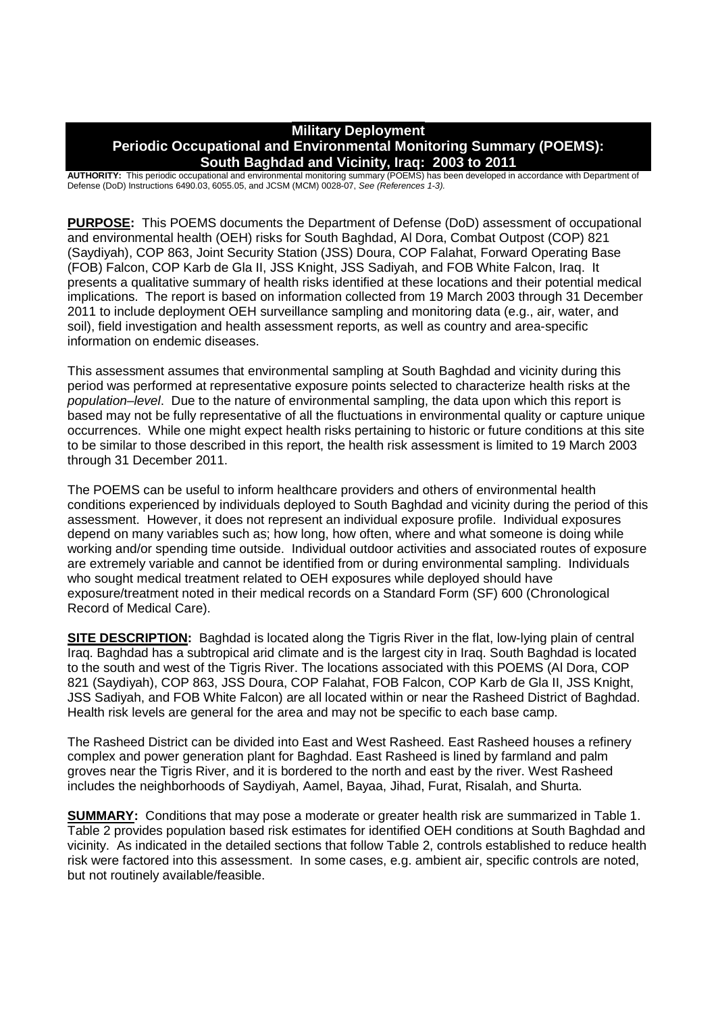### **Military Deployment Periodic Occupational and Environmental Monitoring Summary (POEMS): South Baghdad and Vicinity, Iraq: 2003 to 2011**

**AUTHORITY:** This periodic occupational and environmental monitoring summary (POEMS) has been developed in accordance with Department of Defense (DoD) Instructions 6490.03, 6055.05, and JCSM (MCM) 0028-07, *See (References 1-3).*

**PURPOSE:** This POEMS documents the Department of Defense (DoD) assessment of occupational and environmental health (OEH) risks for South Baghdad, Al Dora, Combat Outpost (COP) 821 (Saydiyah), COP 863, Joint Security Station (JSS) Doura, COP Falahat, Forward Operating Base (FOB) Falcon, COP Karb de Gla II, JSS Knight, JSS Sadiyah, and FOB White Falcon, Iraq. It presents a qualitative summary of health risks identified at these locations and their potential medical implications. The report is based on information collected from 19 March 2003 through 31 December 2011 to include deployment OEH surveillance sampling and monitoring data (e.g., air, water, and soil), field investigation and health assessment reports, as well as country and area-specific information on endemic diseases.

This assessment assumes that environmental sampling at South Baghdad and vicinity during this period was performed at representative exposure points selected to characterize health risks at the *population–level*. Due to the nature of environmental sampling, the data upon which this report is based may not be fully representative of all the fluctuations in environmental quality or capture unique occurrences. While one might expect health risks pertaining to historic or future conditions at this site to be similar to those described in this report, the health risk assessment is limited to 19 March 2003 through 31 December 2011.

The POEMS can be useful to inform healthcare providers and others of environmental health conditions experienced by individuals deployed to South Baghdad and vicinity during the period of this assessment. However, it does not represent an individual exposure profile. Individual exposures depend on many variables such as; how long, how often, where and what someone is doing while working and/or spending time outside. Individual outdoor activities and associated routes of exposure are extremely variable and cannot be identified from or during environmental sampling. Individuals who sought medical treatment related to OEH exposures while deployed should have exposure/treatment noted in their medical records on a Standard Form (SF) 600 (Chronological Record of Medical Care).

**SITE DESCRIPTION:** Baghdad is located along the Tigris River in the flat, low-lying plain of central Iraq. Baghdad has a subtropical arid climate and is the largest city in Iraq. South Baghdad is located to the south and west of the Tigris River. The locations associated with this POEMS (Al Dora, COP 821 (Saydiyah), COP 863, JSS Doura, COP Falahat, FOB Falcon, COP Karb de Gla II, JSS Knight. JSS Sadiyah, and FOB White Falcon) are all located within or near the Rasheed District of Baghdad. Health risk levels are general for the area and may not be specific to each base camp.

The Rasheed District can be divided into East and West Rasheed. East Rasheed houses a refinery complex and power generation plant for Baghdad. East Rasheed is lined by farmland and palm groves near the Tigris River, and it is bordered to the north and east by the river. West Rasheed includes the neighborhoods of Saydiyah, Aamel, Bayaa, Jihad, Furat, Risalah, and Shurta.

**SUMMARY:** Conditions that may pose a moderate or greater health risk are summarized in Table 1. Table 2 provides population based risk estimates for identified OEH conditions at South Baghdad and vicinity. As indicated in the detailed sections that follow Table 2, controls established to reduce health risk were factored into this assessment. In some cases, e.g. ambient air, specific controls are noted, but not routinely available/feasible.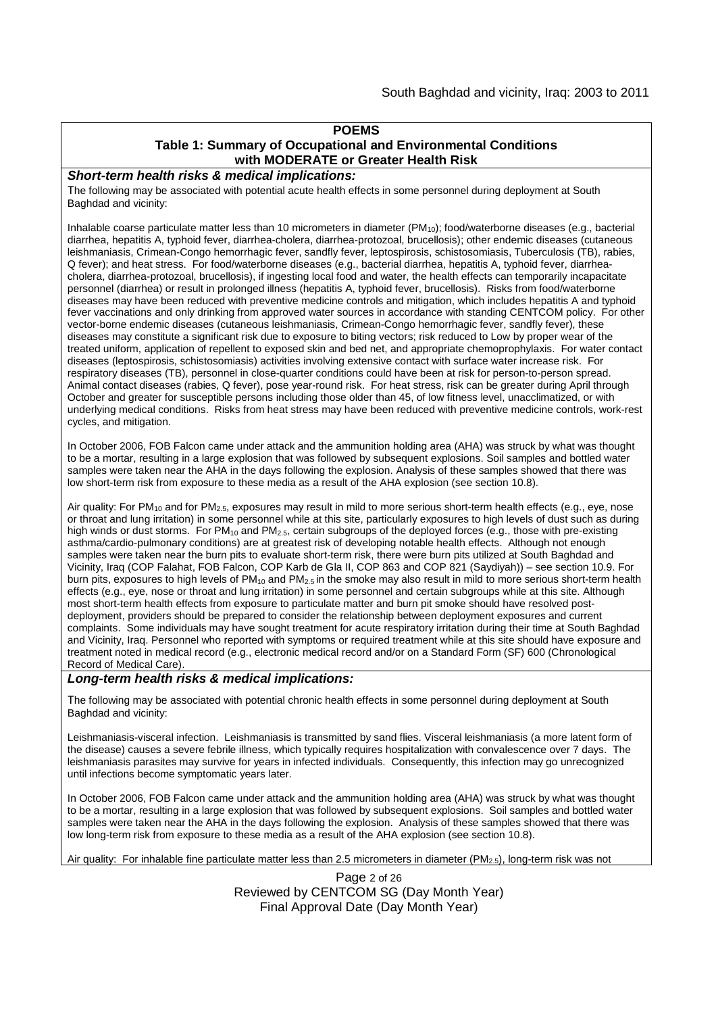### **POEMS**

#### **Table 1: Summary of Occupational and Environmental Conditions with MODERATE or Greater Health Risk**

#### *Short-term health risks & medical implications:*

The following may be associated with potential acute health effects in some personnel during deployment at South Baghdad and vicinity:

Inhalable coarse particulate matter less than 10 micrometers in diameter  $(PM_{10})$ ; food/waterborne diseases (e.g., bacterial diarrhea, hepatitis A, typhoid fever, diarrhea-cholera, diarrhea-protozoal, brucellosis); other endemic diseases (cutaneous leishmaniasis, Crimean-Congo hemorrhagic fever, sandfly fever, leptospirosis, schistosomiasis, Tuberculosis (TB), rabies, Q fever); and heat stress. For food/waterborne diseases (e.g., bacterial diarrhea, hepatitis A, typhoid fever, diarrheacholera, diarrhea-protozoal, brucellosis), if ingesting local food and water, the health effects can temporarily incapacitate personnel (diarrhea) or result in prolonged illness (hepatitis A, typhoid fever, brucellosis). Risks from food/waterborne diseases may have been reduced with preventive medicine controls and mitigation, which includes hepatitis A and typhoid fever vaccinations and only drinking from approved water sources in accordance with standing CENTCOM policy. For other vector-borne endemic diseases (cutaneous leishmaniasis, Crimean-Congo hemorrhagic fever, sandfly fever), these diseases may constitute a significant risk due to exposure to biting vectors; risk reduced to Low by proper wear of the treated uniform, application of repellent to exposed skin and bed net, and appropriate chemoprophylaxis. For water contact diseases (leptospirosis, schistosomiasis) activities involving extensive contact with surface water increase risk. For respiratory diseases (TB), personnel in close-quarter conditions could have been at risk for person-to-person spread. Animal contact diseases (rabies, Q fever), pose year-round risk. For heat stress, risk can be greater during April through October and greater for susceptible persons including those older than 45, of low fitness level, unacclimatized, or with underlying medical conditions. Risks from heat stress may have been reduced with preventive medicine controls, work-rest cycles, and mitigation.

In October 2006, FOB Falcon came under attack and the ammunition holding area (AHA) was struck by what was thought to be a mortar, resulting in a large explosion that was followed by subsequent explosions. Soil samples and bottled water samples were taken near the AHA in the days following the explosion. Analysis of these samples showed that there was low short-term risk from exposure to these media as a result of the AHA explosion (see section 10.8).

Air quality: For PM<sub>10</sub> and for PM<sub>2.5</sub>, exposures may result in mild to more serious short-term health effects (e.g., eye, nose or throat and lung irritation) in some personnel while at this site, particularly exposures to high levels of dust such as during high winds or dust storms. For PM<sub>10</sub> and PM<sub>2.5</sub>, certain subgroups of the deployed forces (e.g., those with pre-existing asthma/cardio-pulmonary conditions) are at greatest risk of developing notable health effects. Although not enough samples were taken near the burn pits to evaluate short-term risk, there were burn pits utilized at South Baghdad and Vicinity, Iraq (COP Falahat, FOB Falcon, COP Karb de Gla II, COP 863 and COP 821 (Saydiyah)) – see section 10.9. For burn pits, exposures to high levels of  $PM_{10}$  and  $PM_{2.5}$  in the smoke may also result in mild to more serious short-term health effects (e.g., eye, nose or throat and lung irritation) in some personnel and certain subgroups while at this site. Although most short-term health effects from exposure to particulate matter and burn pit smoke should have resolved postdeployment, providers should be prepared to consider the relationship between deployment exposures and current complaints. Some individuals may have sought treatment for acute respiratory irritation during their time at South Baghdad and Vicinity, Iraq. Personnel who reported with symptoms or required treatment while at this site should have exposure and treatment noted in medical record (e.g., electronic medical record and/or on a Standard Form (SF) 600 (Chronological Record of Medical Care).

#### *Long-term health risks & medical implications:*

The following may be associated with potential chronic health effects in some personnel during deployment at South Baghdad and vicinity:

Leishmaniasis-visceral infection. Leishmaniasis is transmitted by sand flies. Visceral leishmaniasis (a more latent form of the disease) causes a severe febrile illness, which typically requires hospitalization with convalescence over 7 days. The leishmaniasis parasites may survive for years in infected individuals. Consequently, this infection may go unrecognized until infections become symptomatic years later.

In October 2006, FOB Falcon came under attack and the ammunition holding area (AHA) was struck by what was thought to be a mortar, resulting in a large explosion that was followed by subsequent explosions. Soil samples and bottled water samples were taken near the AHA in the days following the explosion. Analysis of these samples showed that there was low long-term risk from exposure to these media as a result of the AHA explosion (see section 10.8).

Air quality: For inhalable fine particulate matter less than 2.5 micrometers in diameter (PM2.5), long-term risk was not

Page 2 of 26 Reviewed by CENTCOM SG (Day Month Year) Final Approval Date (Day Month Year)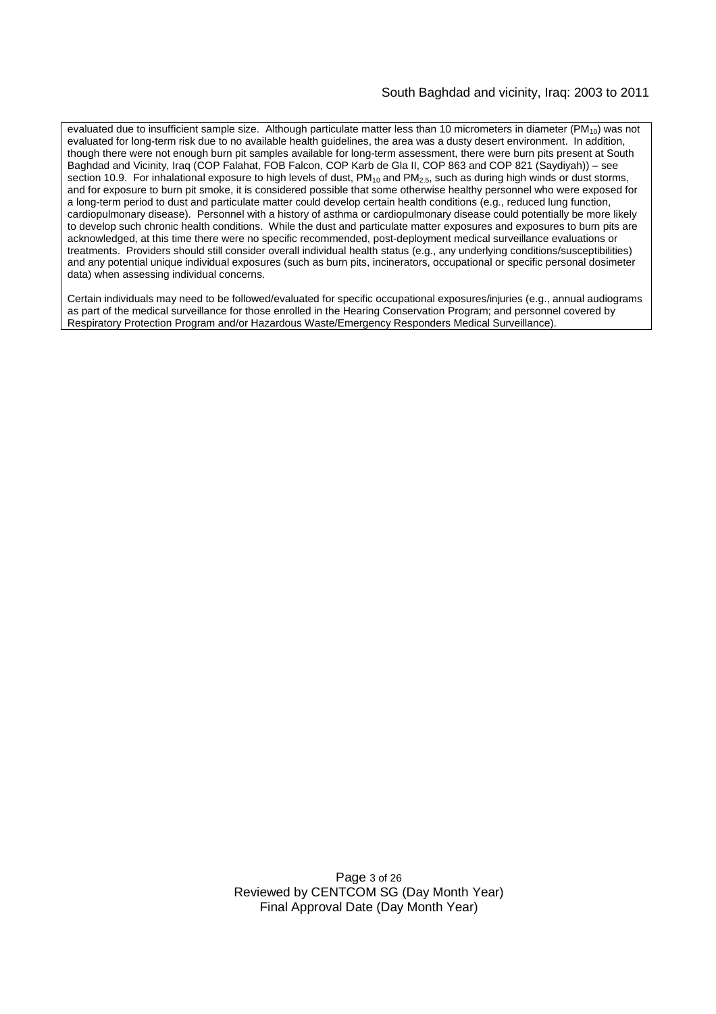#### South Baghdad and vicinity, Iraq: 2003 to 2011

evaluated due to insufficient sample size. Although particulate matter less than 10 micrometers in diameter  $(PM_{10})$  was not evaluated for long-term risk due to no available health guidelines, the area was a dusty desert environment. In addition, though there were not enough burn pit samples available for long-term assessment, there were burn pits present at South Baghdad and Vicinity, Iraq (COP Falahat, FOB Falcon, COP Karb de Gla II, COP 863 and COP 821 (Saydiyah)) – see section 10.9. For inhalational exposure to high levels of dust,  $PM_{10}$  and  $PM_{2.5}$ , such as during high winds or dust storms, and for exposure to burn pit smoke, it is considered possible that some otherwise healthy personnel who were exposed for a long-term period to dust and particulate matter could develop certain health conditions (e.g., reduced lung function, cardiopulmonary disease). Personnel with a history of asthma or cardiopulmonary disease could potentially be more likely to develop such chronic health conditions. While the dust and particulate matter exposures and exposures to burn pits are acknowledged, at this time there were no specific recommended, post-deployment medical surveillance evaluations or treatments. Providers should still consider overall individual health status (e.g., any underlying conditions/susceptibilities) and any potential unique individual exposures (such as burn pits, incinerators, occupational or specific personal dosimeter data) when assessing individual concerns.

Certain individuals may need to be followed/evaluated for specific occupational exposures/injuries (e.g., annual audiograms as part of the medical surveillance for those enrolled in the Hearing Conservation Program; and personnel covered by Respiratory Protection Program and/or Hazardous Waste/Emergency Responders Medical Surveillance).

> Page 3 of 26 Reviewed by CENTCOM SG (Day Month Year) Final Approval Date (Day Month Year)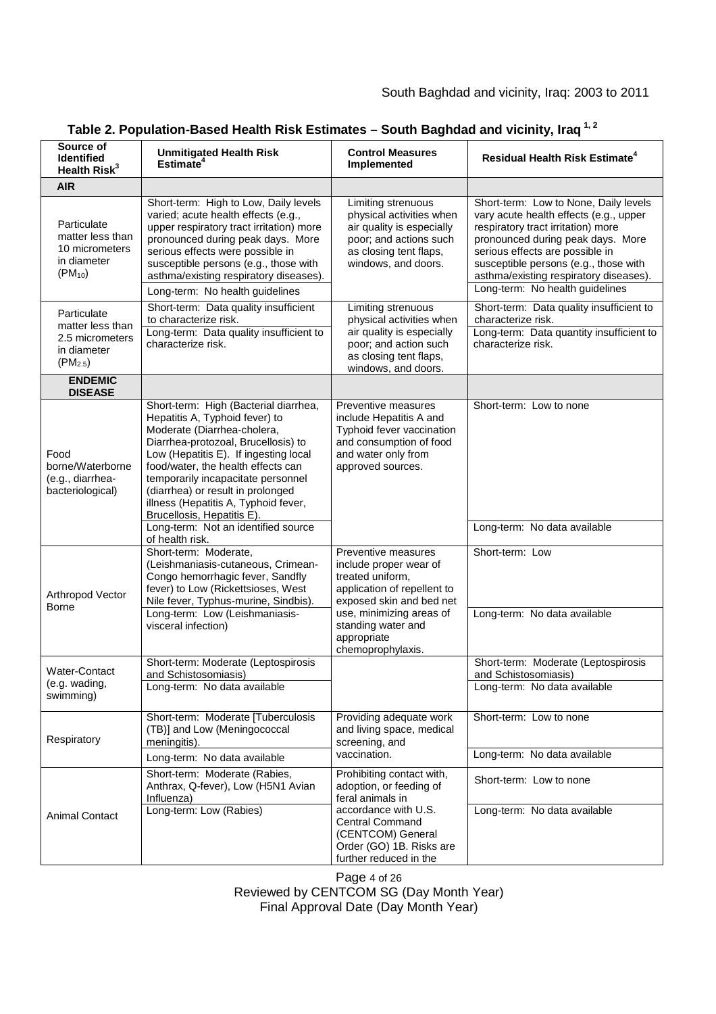| Source of<br>Identified<br>Health Risk <sup>3</sup>                               | <b>Unmitigated Health Risk</b><br>Estimate <sup>4</sup>                                                                                                                                                                                                                                                                                                                       | <b>Control Measures</b><br>Implemented                                                                                                                                                                | <b>Residual Health Risk Estimate<sup>4</sup></b>                                                                                                                                                                                                                                                                    |
|-----------------------------------------------------------------------------------|-------------------------------------------------------------------------------------------------------------------------------------------------------------------------------------------------------------------------------------------------------------------------------------------------------------------------------------------------------------------------------|-------------------------------------------------------------------------------------------------------------------------------------------------------------------------------------------------------|---------------------------------------------------------------------------------------------------------------------------------------------------------------------------------------------------------------------------------------------------------------------------------------------------------------------|
| <b>AIR</b>                                                                        |                                                                                                                                                                                                                                                                                                                                                                               |                                                                                                                                                                                                       |                                                                                                                                                                                                                                                                                                                     |
| Particulate<br>matter less than<br>10 micrometers<br>in diameter<br>$(PM_{10})$   | Short-term: High to Low, Daily levels<br>varied; acute health effects (e.g.,<br>upper respiratory tract irritation) more<br>pronounced during peak days. More<br>serious effects were possible in<br>susceptible persons (e.g., those with<br>asthma/existing respiratory diseases).<br>Long-term: No health guidelines                                                       | Limiting strenuous<br>physical activities when<br>air quality is especially<br>poor; and actions such<br>as closing tent flaps,<br>windows, and doors.                                                | Short-term: Low to None, Daily levels<br>vary acute health effects (e.g., upper<br>respiratory tract irritation) more<br>pronounced during peak days. More<br>serious effects are possible in<br>susceptible persons (e.g., those with<br>asthma/existing respiratory diseases).<br>Long-term: No health guidelines |
| Particulate<br>matter less than<br>2.5 micrometers<br>in diameter<br>$(PM_{2.5})$ | Short-term: Data quality insufficient<br>to characterize risk.<br>Long-term: Data quality insufficient to<br>characterize risk.                                                                                                                                                                                                                                               | Limiting strenuous<br>physical activities when<br>air quality is especially<br>poor; and action such<br>as closing tent flaps,<br>windows, and doors.                                                 | Short-term: Data quality insufficient to<br>characterize risk.<br>Long-term: Data quantity insufficient to<br>characterize risk.                                                                                                                                                                                    |
| <b>ENDEMIC</b><br><b>DISEASE</b>                                                  |                                                                                                                                                                                                                                                                                                                                                                               |                                                                                                                                                                                                       |                                                                                                                                                                                                                                                                                                                     |
| Food<br>borne/Waterborne<br>(e.g., diarrhea-<br>bacteriological)                  | Short-term: High (Bacterial diarrhea,<br>Hepatitis A, Typhoid fever) to<br>Moderate (Diarrhea-cholera,<br>Diarrhea-protozoal, Brucellosis) to<br>Low (Hepatitis E). If ingesting local<br>food/water, the health effects can<br>temporarily incapacitate personnel<br>(diarrhea) or result in prolonged<br>illness (Hepatitis A, Typhoid fever,<br>Brucellosis, Hepatitis E). | Preventive measures<br>include Hepatitis A and<br>Typhoid fever vaccination<br>and consumption of food<br>and water only from<br>approved sources.                                                    | Short-term: Low to none                                                                                                                                                                                                                                                                                             |
|                                                                                   | Long-term: Not an identified source<br>of health risk.                                                                                                                                                                                                                                                                                                                        |                                                                                                                                                                                                       | Long-term: No data available                                                                                                                                                                                                                                                                                        |
| Arthropod Vector<br>Borne                                                         | Short-term: Moderate,<br>(Leishmaniasis-cutaneous, Crimean-<br>Congo hemorrhagic fever, Sandfly<br>fever) to Low (Rickettsioses, West<br>Nile fever, Typhus-murine, Sindbis).<br>Long-term: Low (Leishmaniasis-                                                                                                                                                               | Preventive measures<br>include proper wear of<br>treated uniform,<br>application of repellent to<br>exposed skin and bed net<br>use, minimizing areas of                                              | Short-term: Low<br>Long-term: No data available                                                                                                                                                                                                                                                                     |
|                                                                                   | visceral infection)                                                                                                                                                                                                                                                                                                                                                           | standing water and<br>appropriate<br>chemoprophylaxis.                                                                                                                                                |                                                                                                                                                                                                                                                                                                                     |
| Water-Contact<br>(e.g. wading,<br>swimming)                                       | Short-term: Moderate (Leptospirosis<br>and Schistosomiasis)<br>Long-term: No data available                                                                                                                                                                                                                                                                                   |                                                                                                                                                                                                       | Short-term: Moderate (Leptospirosis<br>and Schistosomiasis)<br>Long-term: No data available                                                                                                                                                                                                                         |
| Respiratory                                                                       | Short-term: Moderate [Tuberculosis<br>(TB)] and Low (Meningococcal<br>meningitis).                                                                                                                                                                                                                                                                                            | Providing adequate work<br>and living space, medical<br>screening, and<br>vaccination.                                                                                                                | Short-term: Low to none                                                                                                                                                                                                                                                                                             |
|                                                                                   | Long-term: No data available                                                                                                                                                                                                                                                                                                                                                  |                                                                                                                                                                                                       | Long-term: No data available                                                                                                                                                                                                                                                                                        |
| <b>Animal Contact</b>                                                             | Short-term: Moderate (Rabies,<br>Anthrax, Q-fever), Low (H5N1 Avian<br>Influenza)<br>Long-term: Low (Rabies)                                                                                                                                                                                                                                                                  | Prohibiting contact with,<br>adoption, or feeding of<br>feral animals in<br>accordance with U.S.<br><b>Central Command</b><br>(CENTCOM) General<br>Order (GO) 1B. Risks are<br>further reduced in the | Short-term: Low to none<br>Long-term: No data available                                                                                                                                                                                                                                                             |

# **Table 2. Population-Based Health Risk Estimates – South Baghdad and vicinity, Iraq 1, 2**

Page 4 of 26 Reviewed by CENTCOM SG (Day Month Year) Final Approval Date (Day Month Year)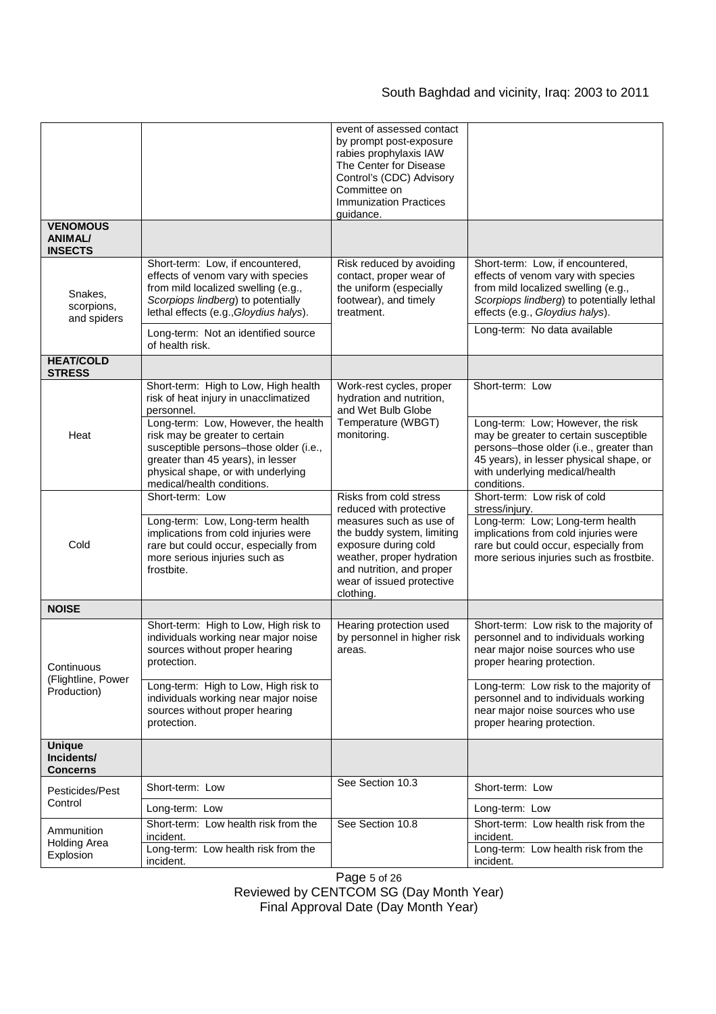# South Baghdad and vicinity, Iraq: 2003 to 2011

|                                                     |                                                                                                                                                                                                                          | event of assessed contact                                                                                                                                                         |                                                                                                                                                                                                                               |
|-----------------------------------------------------|--------------------------------------------------------------------------------------------------------------------------------------------------------------------------------------------------------------------------|-----------------------------------------------------------------------------------------------------------------------------------------------------------------------------------|-------------------------------------------------------------------------------------------------------------------------------------------------------------------------------------------------------------------------------|
|                                                     |                                                                                                                                                                                                                          | by prompt post-exposure<br>rabies prophylaxis IAW<br>The Center for Disease<br>Control's (CDC) Advisory<br>Committee on<br><b>Immunization Practices</b><br>guidance.             |                                                                                                                                                                                                                               |
| <b>VENOMOUS</b><br><b>ANIMAL/</b><br><b>INSECTS</b> |                                                                                                                                                                                                                          |                                                                                                                                                                                   |                                                                                                                                                                                                                               |
| Snakes,<br>scorpions,<br>and spiders                | Short-term: Low, if encountered,<br>effects of venom vary with species<br>from mild localized swelling (e.g.,<br>Scorpiops lindberg) to potentially<br>lethal effects (e.g., Gloydius halys).                            | Risk reduced by avoiding<br>contact, proper wear of<br>the uniform (especially<br>footwear), and timely<br>treatment.                                                             | Short-term: Low, if encountered,<br>effects of venom vary with species<br>from mild localized swelling (e.g.,<br>Scorpiops lindberg) to potentially lethal<br>effects (e.g., Gloydius halys).<br>Long-term: No data available |
|                                                     | Long-term: Not an identified source<br>of health risk.                                                                                                                                                                   |                                                                                                                                                                                   |                                                                                                                                                                                                                               |
| <b>HEAT/COLD</b><br><b>STRESS</b>                   |                                                                                                                                                                                                                          |                                                                                                                                                                                   |                                                                                                                                                                                                                               |
| Heat                                                | Short-term: High to Low, High health<br>risk of heat injury in unacclimatized<br>personnel.                                                                                                                              | Work-rest cycles, proper<br>hydration and nutrition,<br>and Wet Bulb Globe                                                                                                        | Short-term: Low                                                                                                                                                                                                               |
|                                                     | Long-term: Low, However, the health<br>risk may be greater to certain<br>susceptible persons-those older (i.e.,<br>greater than 45 years), in lesser<br>physical shape, or with underlying<br>medical/health conditions. | Temperature (WBGT)<br>monitoring.                                                                                                                                                 | Long-term: Low; However, the risk<br>may be greater to certain susceptible<br>persons-those older (i.e., greater than<br>45 years), in lesser physical shape, or<br>with underlying medical/health<br>conditions.             |
| Cold                                                | Short-term: Low                                                                                                                                                                                                          | Risks from cold stress<br>reduced with protective                                                                                                                                 | Short-term: Low risk of cold<br>stress/injury.                                                                                                                                                                                |
|                                                     | Long-term: Low, Long-term health<br>implications from cold injuries were<br>rare but could occur, especially from<br>more serious injuries such as<br>frostbite.                                                         | measures such as use of<br>the buddy system, limiting<br>exposure during cold<br>weather, proper hydration<br>and nutrition, and proper<br>wear of issued protective<br>clothing. | Long-term: Low; Long-term health<br>implications from cold injuries were<br>rare but could occur, especially from<br>more serious injuries such as frostbite.                                                                 |
| <b>NOISE</b>                                        |                                                                                                                                                                                                                          |                                                                                                                                                                                   |                                                                                                                                                                                                                               |
| Continuous<br>(Flightline, Power<br>Production)     | Short-term: High to Low, High risk to<br>individuals working near major noise<br>sources without proper hearing<br>protection.                                                                                           | Hearing protection used<br>by personnel in higher risk<br>areas.                                                                                                                  | Short-term: Low risk to the majority of<br>personnel and to individuals working<br>near major noise sources who use<br>proper hearing protection.                                                                             |
|                                                     | Long-term: High to Low, High risk to<br>individuals working near major noise<br>sources without proper hearing<br>protection.                                                                                            |                                                                                                                                                                                   | Long-term: Low risk to the majority of<br>personnel and to individuals working<br>near major noise sources who use<br>proper hearing protection.                                                                              |
| <b>Unique</b><br>Incidents/<br>Concerns             |                                                                                                                                                                                                                          |                                                                                                                                                                                   |                                                                                                                                                                                                                               |
| Pesticides/Pest                                     | Short-term: Low                                                                                                                                                                                                          | See Section 10.3                                                                                                                                                                  | Short-term: Low                                                                                                                                                                                                               |
| Control                                             | Long-term: Low                                                                                                                                                                                                           |                                                                                                                                                                                   | Long-term: Low                                                                                                                                                                                                                |
| Ammunition<br><b>Holding Area</b><br>Explosion      | Short-term: Low health risk from the<br>incident.                                                                                                                                                                        | See Section 10.8                                                                                                                                                                  | Short-term: Low health risk from the<br>incident.                                                                                                                                                                             |
|                                                     | Long-term: Low health risk from the<br>incident.                                                                                                                                                                         |                                                                                                                                                                                   | Long-term: Low health risk from the<br>incident.                                                                                                                                                                              |

Page 5 of 26 Reviewed by CENTCOM SG (Day Month Year) Final Approval Date (Day Month Year)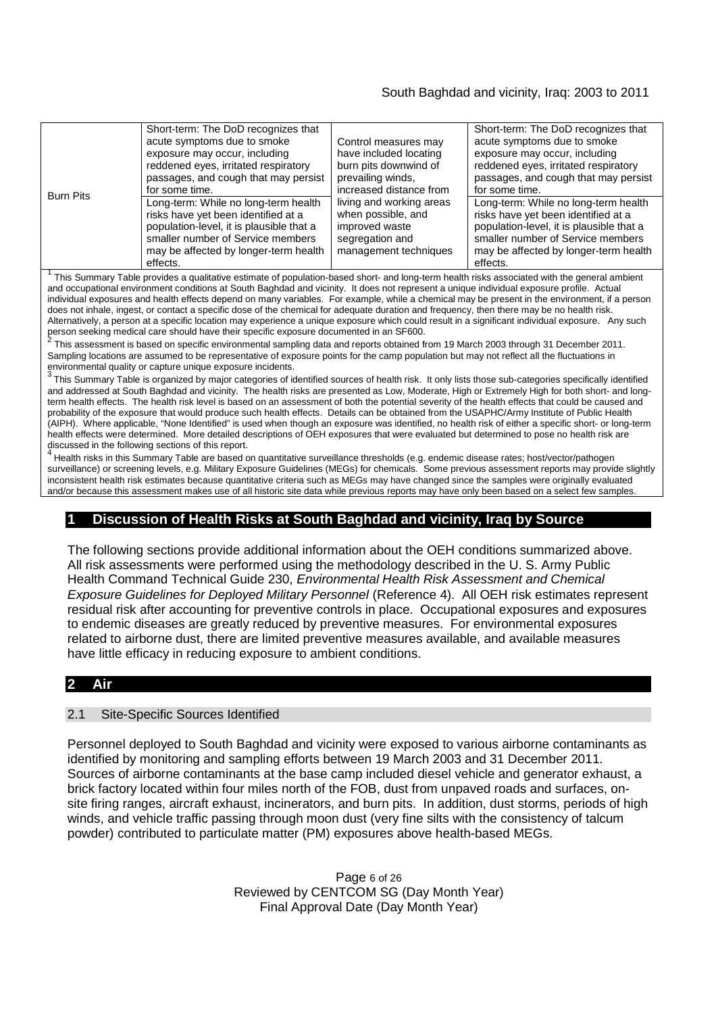# South Baghdad and vicinity, Iraq: 2003 to 2011

| <b>Burn Pits</b>                                                                                                                                                                                                    | Short-term: The DoD recognizes that<br>acute symptoms due to smoke<br>exposure may occur, including<br>reddened eyes, irritated respiratory<br>passages, and cough that may persist<br>for some time.<br>Long-term: While no long-term health<br>risks have yet been identified at a<br>population-level, it is plausible that a<br>smaller number of Service members<br>may be affected by longer-term health<br>effects. | Control measures may<br>have included locating<br>burn pits downwind of<br>prevailing winds,<br>increased distance from<br>living and working areas<br>when possible, and<br>improved waste<br>segregation and<br>management techniques | Short-term: The DoD recognizes that<br>acute symptoms due to smoke<br>exposure may occur, including<br>reddened eyes, irritated respiratory<br>passages, and cough that may persist<br>for some time.<br>Long-term: While no long-term health<br>risks have yet been identified at a<br>population-level, it is plausible that a<br>smaller number of Service members<br>may be affected by longer-term health<br>effects. |  |  |
|---------------------------------------------------------------------------------------------------------------------------------------------------------------------------------------------------------------------|----------------------------------------------------------------------------------------------------------------------------------------------------------------------------------------------------------------------------------------------------------------------------------------------------------------------------------------------------------------------------------------------------------------------------|-----------------------------------------------------------------------------------------------------------------------------------------------------------------------------------------------------------------------------------------|----------------------------------------------------------------------------------------------------------------------------------------------------------------------------------------------------------------------------------------------------------------------------------------------------------------------------------------------------------------------------------------------------------------------------|--|--|
| $\tau$ . $\sim$ $\sim$<br>元月12日 - 12月 - 12日 - 12日 - 12月 - 12月 - 12月 - 12月 - 12月 - 12月 - 12月 - 12月 - 12月 - 12月 - 12月 - 12月 - 12月 - 12月 - 12月 - 12月 - 12月 - 12月 - 12月 - 12月 - 12月 - 12月 - 12月 - 12月 - 12月 - 12月 - 12月 |                                                                                                                                                                                                                                                                                                                                                                                                                            |                                                                                                                                                                                                                                         |                                                                                                                                                                                                                                                                                                                                                                                                                            |  |  |

This Summary Table provides a qualitative estimate of population-based short- and long-term health risks associated with the general ambient and occupational environment conditions at South Baghdad and vicinity. It does not represent a unique individual exposure profile. Actual individual exposures and health effects depend on many variables. For example, while a chemical may be present in the environment, if a person does not inhale, ingest, or contact a specific dose of the chemical for adequate duration and frequency, then there may be no health risk. Alternatively, a person at a specific location may experience a unique exposure which could result in a significant individual exposure. Any such

person seeking medical care should have their specific exposure documented in an SF600.<br><sup>2</sup> This assessment is based on specific environmental sampling data and reports obtained from 19 March 2003 through 31 December 2011. Sampling locations are assumed to be representative of exposure points for the camp population but may not reflect all the fluctuations in

environmental quality or capture unique exposure incidents.<br><sup>3</sup> This Summary Table is organized by major categories of identified sources of health risk. It only lists those sub-categories specifically identified and addressed at South Baghdad and vicinity. The health risks are presented as Low, Moderate, High or Extremely High for both short- and longterm health effects. The health risk level is based on an assessment of both the potential severity of the health effects that could be caused and probability of the exposure that would produce such health effects. Details can be obtained from the USAPHC/Army Institute of Public Health (AIPH). Where applicable, "None Identified" is used when though an exposure was identified, no health risk of either a specific short- or long-term health effects were determined. More detailed descriptions of OEH exposures that were evaluated but determined to pose no health risk are discussed in the following sections of this report.

4 Health risks in this Summary Table are based on quantitative surveillance thresholds (e.g. endemic disease rates; host/vector/pathogen surveillance) or screening levels, e.g. Military Exposure Guidelines (MEGs) for chemicals*.* Some previous assessment reports may provide slightly inconsistent health risk estimates because quantitative criteria such as MEGs may have changed since the samples were originally evaluated and/or because this assessment makes use of all historic site data while previous reports may have only been based on a select few samples.

# **1 Discussion of Health Risks at South Baghdad and vicinity, Iraq by Source**

The following sections provide additional information about the OEH conditions summarized above. All risk assessments were performed using the methodology described in the U. S. Army Public Health Command Technical Guide 230, *Environmental Health Risk Assessment and Chemical Exposure Guidelines for Deployed Military Personnel* (Reference 4). All OEH risk estimates represent residual risk after accounting for preventive controls in place. Occupational exposures and exposures to endemic diseases are greatly reduced by preventive measures. For environmental exposures related to airborne dust, there are limited preventive measures available, and available measures have little efficacy in reducing exposure to ambient conditions.

### **2 Air**

#### 2.1 Site-Specific Sources Identified

Personnel deployed to South Baghdad and vicinity were exposed to various airborne contaminants as identified by monitoring and sampling efforts between 19 March 2003 and 31 December 2011. Sources of airborne contaminants at the base camp included diesel vehicle and generator exhaust, a brick factory located within four miles north of the FOB, dust from unpaved roads and surfaces, onsite firing ranges, aircraft exhaust, incinerators, and burn pits. In addition, dust storms, periods of high winds, and vehicle traffic passing through moon dust (very fine silts with the consistency of talcum powder) contributed to particulate matter (PM) exposures above health-based MEGs.

> Page 6 of 26 Reviewed by CENTCOM SG (Day Month Year) Final Approval Date (Day Month Year)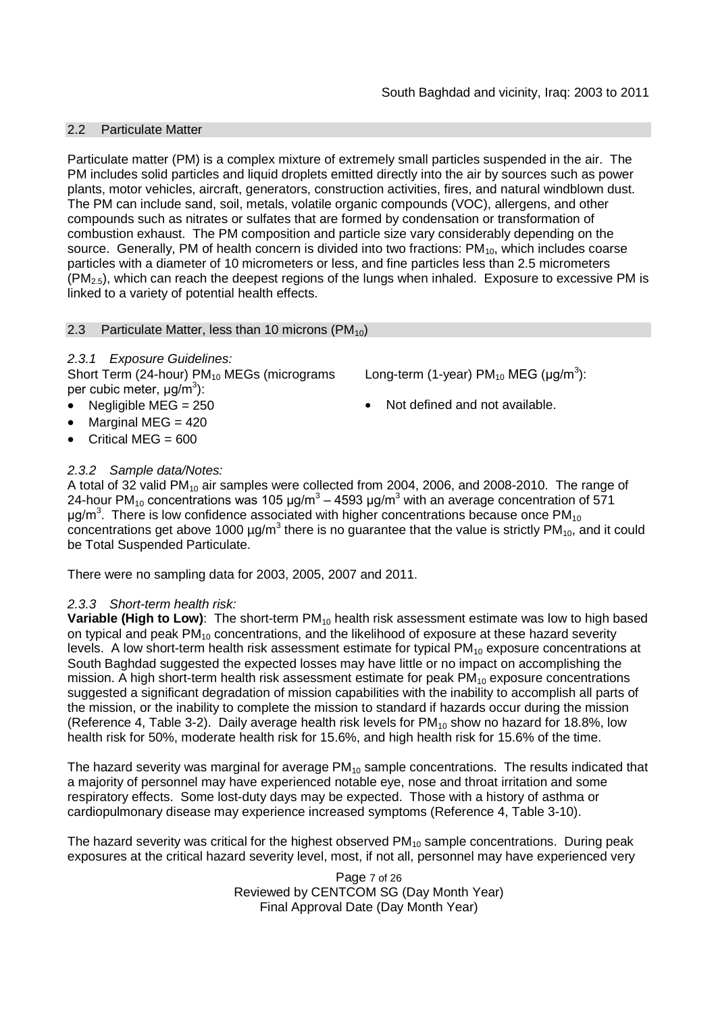### 2.2 Particulate Matter

Particulate matter (PM) is a complex mixture of extremely small particles suspended in the air. The PM includes solid particles and liquid droplets emitted directly into the air by sources such as power plants, motor vehicles, aircraft, generators, construction activities, fires, and natural windblown dust. The PM can include sand, soil, metals, volatile organic compounds (VOC), allergens, and other compounds such as nitrates or sulfates that are formed by condensation or transformation of combustion exhaust. The PM composition and particle size vary considerably depending on the source. Generally, PM of health concern is divided into two fractions:  $PM_{10}$ , which includes coarse particles with a diameter of 10 micrometers or less, and fine particles less than 2.5 micrometers  $(PM<sub>2.5</sub>)$ , which can reach the deepest regions of the lungs when inhaled. Exposure to excessive PM is linked to a variety of potential health effects.

### 2.3 Particulate Matter, less than 10 microns  $(PM_{10})$

### *2.3.1 Exposure Guidelines:*

Short Term (24-hour)  $PM_{10}$  MEGs (micrograms per cubic meter, μg/m<sup>3</sup>):

- 
- Marginal MEG  $=$  420
- Critical MEG  $= 600$

### *2.3.2 Sample data/Notes:*

A total of 32 valid  $PM_{10}$  air samples were collected from 2004, 2006, and 2008-2010. The range of 24-hour PM<sub>10</sub> concentrations was 105 μg/m<sup>3</sup> – 4593 μg/m<sup>3</sup> with an average concentration of 571 μg/m<sup>3</sup>. There is low confidence associated with higher concentrations because once PM<sub>10</sub> concentrations get above 1000  $\mu$ g/m<sup>3</sup> there is no guarantee that the value is strictly PM<sub>10</sub>, and it could be Total Suspended Particulate.

There were no sampling data for 2003, 2005, 2007 and 2011.

### *2.3.3 Short-term health risk:*

**Variable (High to Low)**: The short-term PM<sub>10</sub> health risk assessment estimate was low to high based on typical and peak  $PM_{10}$  concentrations, and the likelihood of exposure at these hazard severity levels. A low short-term health risk assessment estimate for typical  $PM_{10}$  exposure concentrations at South Baghdad suggested the expected losses may have little or no impact on accomplishing the mission. A high short-term health risk assessment estimate for peak  $PM_{10}$  exposure concentrations suggested a significant degradation of mission capabilities with the inability to accomplish all parts of the mission, or the inability to complete the mission to standard if hazards occur during the mission (Reference 4, Table 3-2). Daily average health risk levels for  $PM_{10}$  show no hazard for 18.8%, low health risk for 50%, moderate health risk for 15.6%, and high health risk for 15.6% of the time.

The hazard severity was marginal for average  $PM_{10}$  sample concentrations. The results indicated that a majority of personnel may have experienced notable eye, nose and throat irritation and some respiratory effects. Some lost-duty days may be expected. Those with a history of asthma or cardiopulmonary disease may experience increased symptoms (Reference 4, Table 3-10).

The hazard severity was critical for the highest observed  $PM_{10}$  sample concentrations. During peak exposures at the critical hazard severity level, most, if not all, personnel may have experienced very

> Page 7 of 26 Reviewed by CENTCOM SG (Day Month Year) Final Approval Date (Day Month Year)

- Long-term (1-year) PM<sub>10</sub> MEG (µg/m<sup>3</sup>):
- Negligible MEG =  $250$   $\bullet$  Not defined and not available.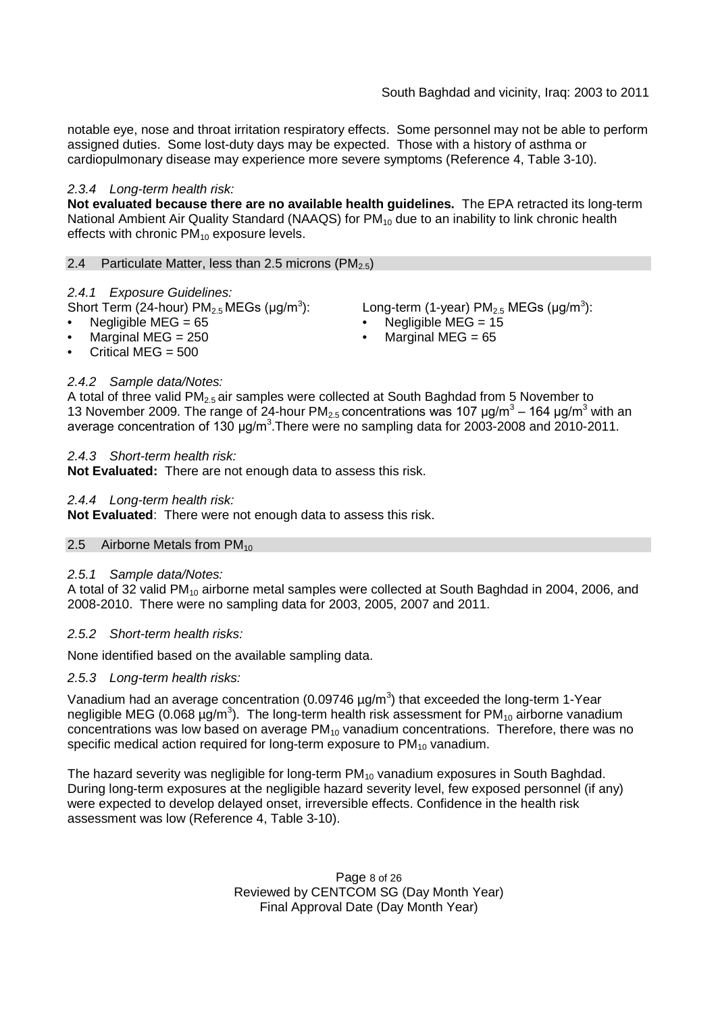notable eye, nose and throat irritation respiratory effects. Some personnel may not be able to perform assigned duties. Some lost-duty days may be expected. Those with a history of asthma or cardiopulmonary disease may experience more severe symptoms (Reference 4, Table 3-10).

### *2.3.4 Long-term health risk:*

**Not evaluated because there are no available health guidelines.** The EPA retracted its long-term National Ambient Air Quality Standard (NAAQS) for PM<sub>10</sub> due to an inability to link chronic health effects with chronic  $PM_{10}$  exposure levels.

2.4 Particulate Matter, less than 2.5 microns (PM<sub>2.5</sub>)

#### *2.4.1 Exposure Guidelines:*

Short Term (24-hour)  $PM_{2.5}$ MEGs (µg/m<sup>3</sup>

- 
- 
- Critical MEG  $= 500$

*2.4.2 Sample data/Notes:*

A total of three valid  $PM<sub>2.5</sub>$  air samples were collected at South Baghdad from 5 November to 13 November 2009. The range of 24-hour PM<sub>2.5</sub> concentrations was 107  $\mu$ g/m<sup>3</sup> – 164  $\mu$ g/m<sup>3</sup> with an average concentration of 130  $\mu$ g/m<sup>3</sup>. There were no sampling data for 2003-2008 and 2010-2011.

#### *2.4.3 Short-term health risk:*

**Not Evaluated:** There are not enough data to assess this risk.

#### *2.4.4 Long-term health risk:*

**Not Evaluated**: There were not enough data to assess this risk.

#### 2.5 Airborne Metals from  $PM_{10}$

#### *2.5.1 Sample data/Notes:*

A total of 32 valid PM<sub>10</sub> airborne metal samples were collected at South Baghdad in 2004, 2006, and 2008-2010. There were no sampling data for 2003, 2005, 2007 and 2011.

#### *2.5.2 Short-term health risks:*

None identified based on the available sampling data.

#### *2.5.3 Long-term health risks:*

Vanadium had an average concentration (0.09746  $\mu$ g/m<sup>3</sup>) that exceeded the long-term 1-Year negligible MEG (0.068  $\mu$ g/m<sup>3</sup>). The long-term health risk assessment for PM<sub>10</sub> airborne vanadium concentrations was low based on average  $PM_{10}$  vanadium concentrations. Therefore, there was no specific medical action required for long-term exposure to  $PM_{10}$  vanadium.

The hazard severity was negligible for long-term  $PM_{10}$  vanadium exposures in South Baghdad. During long-term exposures at the negligible hazard severity level, few exposed personnel (if any) were expected to develop delayed onset, irreversible effects. Confidence in the health risk assessment was low (Reference 4, Table 3-10).

> Page 8 of 26 Reviewed by CENTCOM SG (Day Month Year) Final Approval Date (Day Month Year)

- ): Long-term (1-year)  $PM<sub>2.5</sub> MEGs (µg/m<sup>3</sup>)$ :
- Negligible MEG = 65 Negligible MEG = 15
- Marginal MEG = 250 Marginal MEG = 65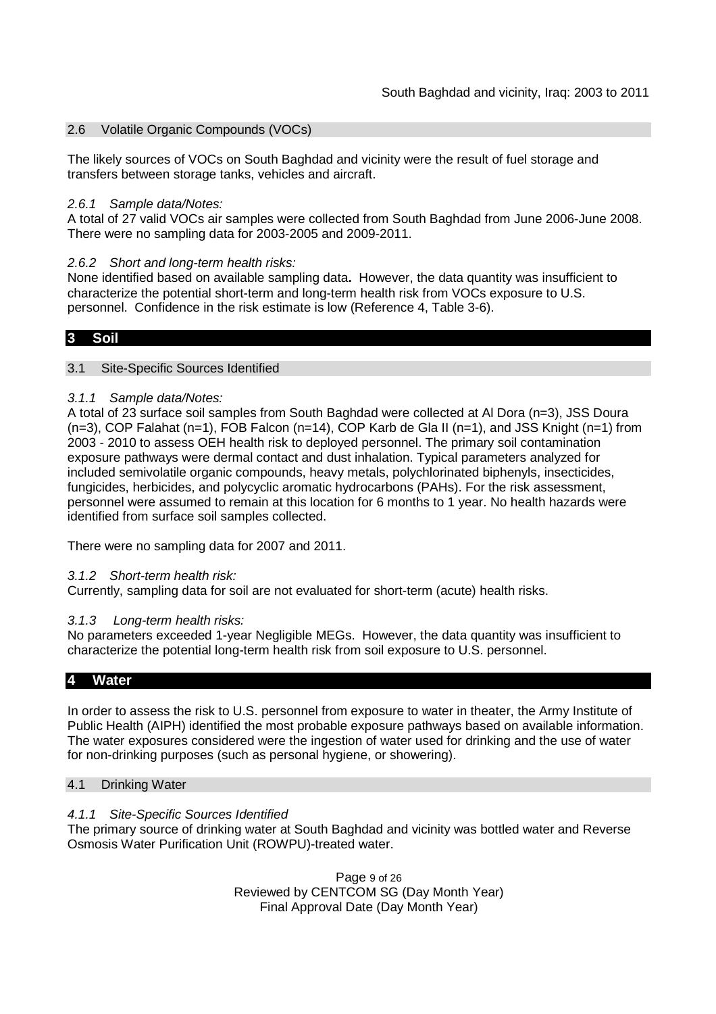### 2.6 Volatile Organic Compounds (VOCs)

The likely sources of VOCs on South Baghdad and vicinity were the result of fuel storage and transfers between storage tanks, vehicles and aircraft.

#### *2.6.1 Sample data/Notes:*

A total of 27 valid VOCs air samples were collected from South Baghdad from June 2006-June 2008. There were no sampling data for 2003-2005 and 2009-2011.

### *2.6.2 Short and long-term health risks:*

None identified based on available sampling data**.** However, the data quantity was insufficient to characterize the potential short-term and long-term health risk from VOCs exposure to U.S. personnel. Confidence in the risk estimate is low (Reference 4, Table 3-6).

#### **3 Soil**

### 3.1 Site-Specific Sources Identified

### *3.1.1 Sample data/Notes:*

A total of 23 surface soil samples from South Baghdad were collected at Al Dora (n=3), JSS Doura (n=3), COP Falahat (n=1), FOB Falcon (n=14), COP Karb de Gla II (n=1), and JSS Knight (n=1) from 2003 - 2010 to assess OEH health risk to deployed personnel. The primary soil contamination exposure pathways were dermal contact and dust inhalation. Typical parameters analyzed for included semivolatile organic compounds, heavy metals, polychlorinated biphenyls, insecticides, fungicides, herbicides, and polycyclic aromatic hydrocarbons (PAHs). For the risk assessment, personnel were assumed to remain at this location for 6 months to 1 year. No health hazards were identified from surface soil samples collected.

There were no sampling data for 2007 and 2011.

#### *3.1.2 Short-term health risk:*

Currently, sampling data for soil are not evaluated for short-term (acute) health risks.

#### *3.1.3 Long-term health risks:*

No parameters exceeded 1-year Negligible MEGs. However, the data quantity was insufficient to characterize the potential long-term health risk from soil exposure to U.S. personnel.

#### **4 Water**

In order to assess the risk to U.S. personnel from exposure to water in theater, the Army Institute of Public Health (AIPH) identified the most probable exposure pathways based on available information. The water exposures considered were the ingestion of water used for drinking and the use of water for non-drinking purposes (such as personal hygiene, or showering).

#### 4.1 Drinking Water

#### *4.1.1 Site-Specific Sources Identified*

The primary source of drinking water at South Baghdad and vicinity was bottled water and Reverse Osmosis Water Purification Unit (ROWPU)-treated water.

> Page 9 of 26 Reviewed by CENTCOM SG (Day Month Year) Final Approval Date (Day Month Year)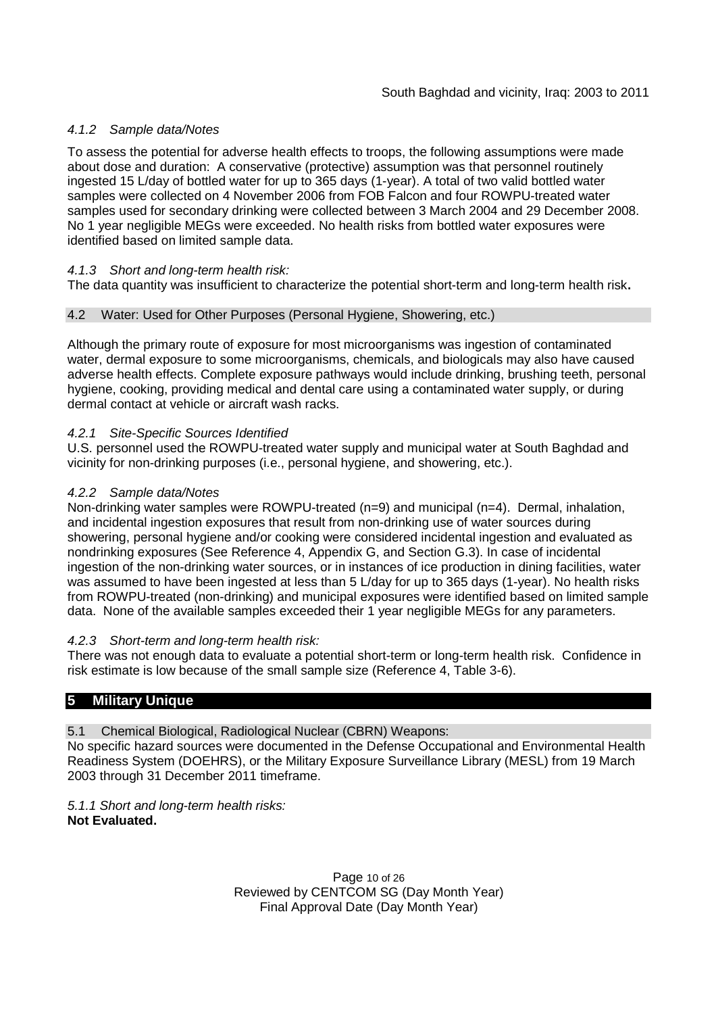# *4.1.2 Sample data/Notes*

To assess the potential for adverse health effects to troops, the following assumptions were made about dose and duration: A conservative (protective) assumption was that personnel routinely ingested 15 L/day of bottled water for up to 365 days (1-year). A total of two valid bottled water samples were collected on 4 November 2006 from FOB Falcon and four ROWPU-treated water samples used for secondary drinking were collected between 3 March 2004 and 29 December 2008. No 1 year negligible MEGs were exceeded. No health risks from bottled water exposures were identified based on limited sample data.

## *4.1.3 Short and long-term health risk:*

The data quantity was insufficient to characterize the potential short-term and long-term health risk**.**

### 4.2 Water: Used for Other Purposes (Personal Hygiene, Showering, etc.)

Although the primary route of exposure for most microorganisms was ingestion of contaminated water, dermal exposure to some microorganisms, chemicals, and biologicals may also have caused adverse health effects. Complete exposure pathways would include drinking, brushing teeth, personal hygiene, cooking, providing medical and dental care using a contaminated water supply, or during dermal contact at vehicle or aircraft wash racks.

### *4.2.1 Site-Specific Sources Identified*

U.S. personnel used the ROWPU-treated water supply and municipal water at South Baghdad and vicinity for non-drinking purposes (i.e., personal hygiene, and showering, etc.).

### *4.2.2 Sample data/Notes*

Non-drinking water samples were ROWPU-treated (n=9) and municipal (n=4). Dermal, inhalation, and incidental ingestion exposures that result from non-drinking use of water sources during showering, personal hygiene and/or cooking were considered incidental ingestion and evaluated as nondrinking exposures (See Reference 4, Appendix G, and Section G.3). In case of incidental ingestion of the non-drinking water sources, or in instances of ice production in dining facilities, water was assumed to have been ingested at less than 5 L/day for up to 365 days (1-year). No health risks from ROWPU-treated (non-drinking) and municipal exposures were identified based on limited sample data. None of the available samples exceeded their 1 year negligible MEGs for any parameters.

### *4.2.3 Short-term and long-term health risk:*

There was not enough data to evaluate a potential short-term or long-term health risk. Confidence in risk estimate is low because of the small sample size (Reference 4, Table 3-6).

# **5 Military Unique**

5.1 Chemical Biological, Radiological Nuclear (CBRN) Weapons:

No specific hazard sources were documented in the Defense Occupational and Environmental Health Readiness System (DOEHRS), or the Military Exposure Surveillance Library (MESL) from 19 March 2003 through 31 December 2011 timeframe.

*5.1.1 Short and long-term health risks:* **Not Evaluated.**

> Page 10 of 26 Reviewed by CENTCOM SG (Day Month Year) Final Approval Date (Day Month Year)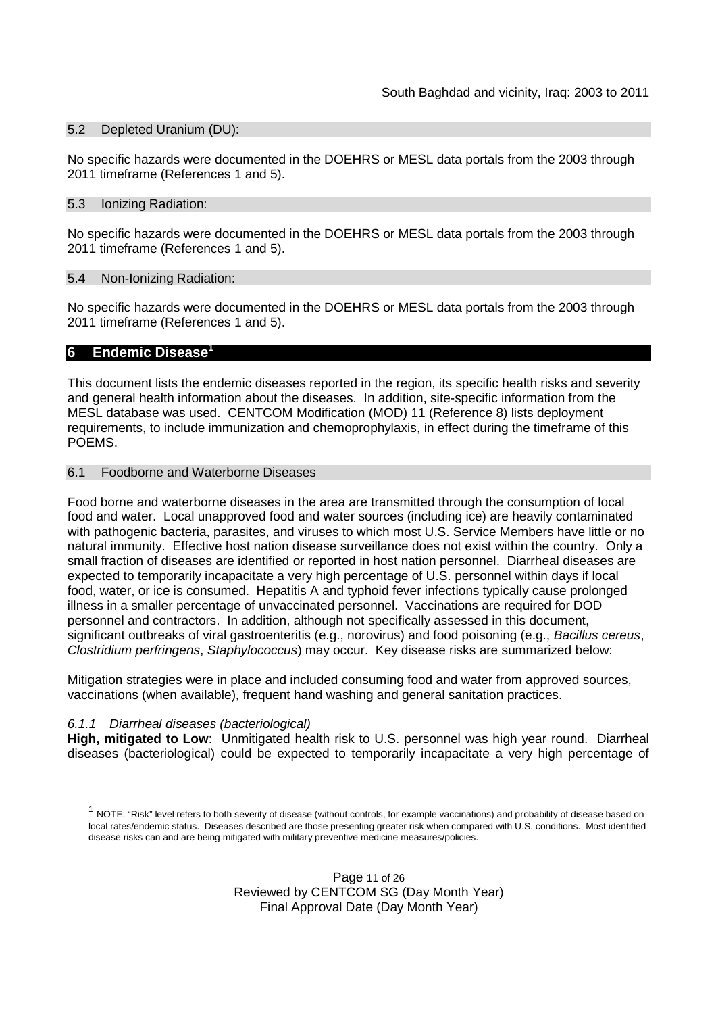### 5.2 Depleted Uranium (DU):

No specific hazards were documented in the DOEHRS or MESL data portals from the 2003 through 2011 timeframe (References 1 and 5).

#### 5.3 Ionizing Radiation:

No specific hazards were documented in the DOEHRS or MESL data portals from the 2003 through 2011 timeframe (References 1 and 5).

### 5.4 Non-Ionizing Radiation:

No specific hazards were documented in the DOEHRS or MESL data portals from the 2003 through 2011 timeframe (References 1 and 5).

### **6 Endemic Disease<sup>1</sup>**

This document lists the endemic diseases reported in the region, its specific health risks and severity and general health information about the diseases. In addition, site-specific information from the MESL database was used. CENTCOM Modification (MOD) 11 (Reference 8) lists deployment requirements, to include immunization and chemoprophylaxis, in effect during the timeframe of this POEMS.

#### 6.1 Foodborne and Waterborne Diseases

Food borne and waterborne diseases in the area are transmitted through the consumption of local food and water. Local unapproved food and water sources (including ice) are heavily contaminated with pathogenic bacteria, parasites, and viruses to which most U.S. Service Members have little or no natural immunity. Effective host nation disease surveillance does not exist within the country. Only a small fraction of diseases are identified or reported in host nation personnel. Diarrheal diseases are expected to temporarily incapacitate a very high percentage of U.S. personnel within days if local food, water, or ice is consumed. Hepatitis A and typhoid fever infections typically cause prolonged illness in a smaller percentage of unvaccinated personnel. Vaccinations are required for DOD personnel and contractors. In addition, although not specifically assessed in this document, significant outbreaks of viral gastroenteritis (e.g., norovirus) and food poisoning (e.g., *Bacillus cereus*, *Clostridium perfringens*, *Staphylococcus*) may occur. Key disease risks are summarized below:

Mitigation strategies were in place and included consuming food and water from approved sources, vaccinations (when available), frequent hand washing and general sanitation practices.

### *6.1.1 Diarrheal diseases (bacteriological)*

**High, mitigated to Low**: Unmitigated health risk to U.S. personnel was high year round. Diarrheal diseases (bacteriological) could be expected to temporarily incapacitate a very high percentage of

 $^1$  NOTE: "Risk" level refers to both severity of disease (without controls, for example vaccinations) and probability of disease based on local rates/endemic status. Diseases described are those presenting greater risk when compared with U.S. conditions. Most identified disease risks can and are being mitigated with military preventive medicine measures/policies.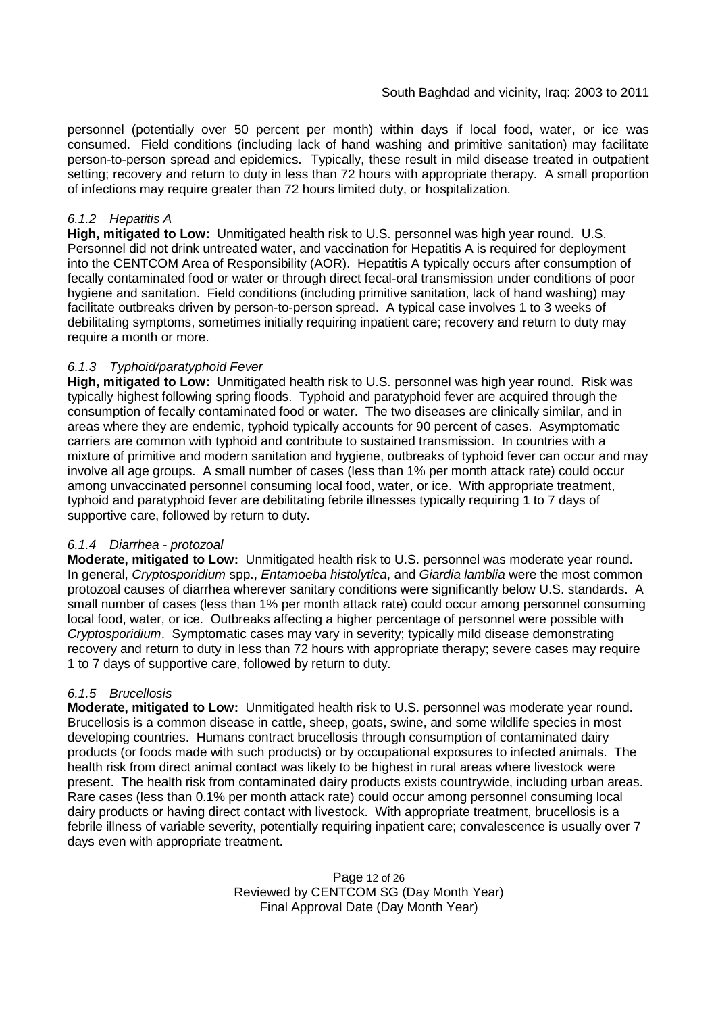personnel (potentially over 50 percent per month) within days if local food, water, or ice was consumed. Field conditions (including lack of hand washing and primitive sanitation) may facilitate person-to-person spread and epidemics. Typically, these result in mild disease treated in outpatient setting; recovery and return to duty in less than 72 hours with appropriate therapy. A small proportion of infections may require greater than 72 hours limited duty, or hospitalization.

### *6.1.2 Hepatitis A*

**High, mitigated to Low:** Unmitigated health risk to U.S. personnel was high year round. U.S. Personnel did not drink untreated water, and vaccination for Hepatitis A is required for deployment into the CENTCOM Area of Responsibility (AOR). Hepatitis A typically occurs after consumption of fecally contaminated food or water or through direct fecal-oral transmission under conditions of poor hygiene and sanitation. Field conditions (including primitive sanitation, lack of hand washing) may facilitate outbreaks driven by person-to-person spread. A typical case involves 1 to 3 weeks of debilitating symptoms, sometimes initially requiring inpatient care; recovery and return to duty may require a month or more.

### *6.1.3 Typhoid/paratyphoid Fever*

**High, mitigated to Low:** Unmitigated health risk to U.S. personnel was high year round. Risk was typically highest following spring floods. Typhoid and paratyphoid fever are acquired through the consumption of fecally contaminated food or water. The two diseases are clinically similar, and in areas where they are endemic, typhoid typically accounts for 90 percent of cases. Asymptomatic carriers are common with typhoid and contribute to sustained transmission. In countries with a mixture of primitive and modern sanitation and hygiene, outbreaks of typhoid fever can occur and may involve all age groups. A small number of cases (less than 1% per month attack rate) could occur among unvaccinated personnel consuming local food, water, or ice. With appropriate treatment, typhoid and paratyphoid fever are debilitating febrile illnesses typically requiring 1 to 7 days of supportive care, followed by return to duty.

### *6.1.4 Diarrhea - protozoal*

**Moderate, mitigated to Low:** Unmitigated health risk to U.S. personnel was moderate year round. In general, *Cryptosporidium* spp., *Entamoeba histolytica*, and *Giardia lamblia* were the most common protozoal causes of diarrhea wherever sanitary conditions were significantly below U.S. standards. A small number of cases (less than 1% per month attack rate) could occur among personnel consuming local food, water, or ice. Outbreaks affecting a higher percentage of personnel were possible with *Cryptosporidium*. Symptomatic cases may vary in severity; typically mild disease demonstrating recovery and return to duty in less than 72 hours with appropriate therapy; severe cases may require 1 to 7 days of supportive care, followed by return to duty.

### *6.1.5 Brucellosis*

**Moderate, mitigated to Low:** Unmitigated health risk to U.S. personnel was moderate year round. Brucellosis is a common disease in cattle, sheep, goats, swine, and some wildlife species in most developing countries. Humans contract brucellosis through consumption of contaminated dairy products (or foods made with such products) or by occupational exposures to infected animals. The health risk from direct animal contact was likely to be highest in rural areas where livestock were present. The health risk from contaminated dairy products exists countrywide, including urban areas. Rare cases (less than 0.1% per month attack rate) could occur among personnel consuming local dairy products or having direct contact with livestock. With appropriate treatment, brucellosis is a febrile illness of variable severity, potentially requiring inpatient care; convalescence is usually over 7 days even with appropriate treatment.

> Page 12 of 26 Reviewed by CENTCOM SG (Day Month Year) Final Approval Date (Day Month Year)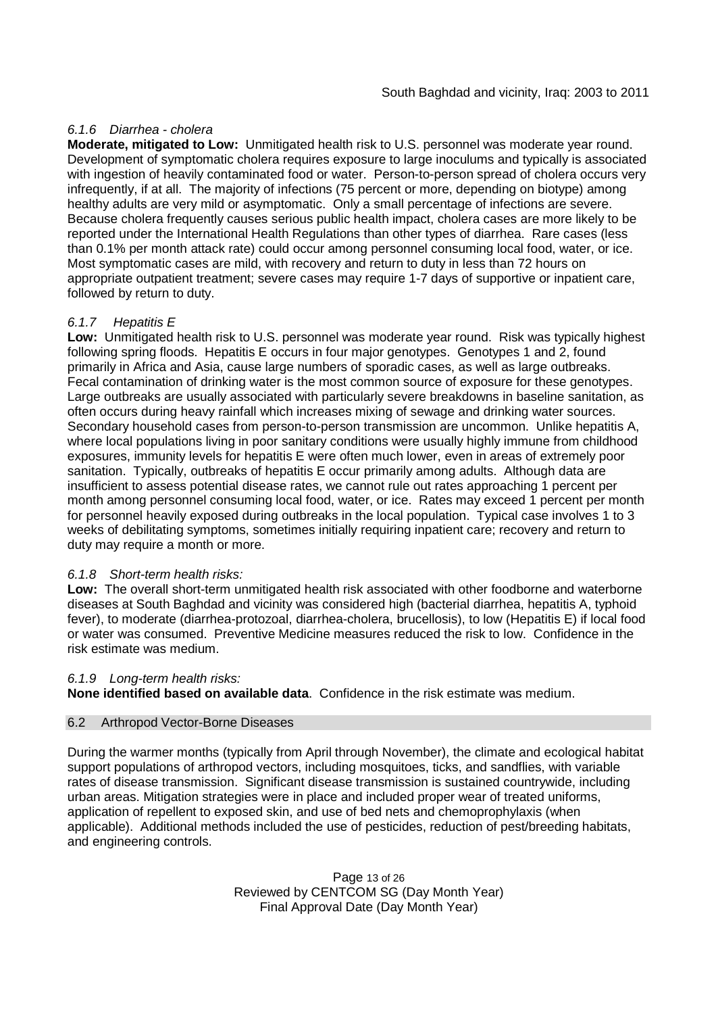### *6.1.6 Diarrhea - cholera*

**Moderate, mitigated to Low:** Unmitigated health risk to U.S. personnel was moderate year round. Development of symptomatic cholera requires exposure to large inoculums and typically is associated with ingestion of heavily contaminated food or water. Person-to-person spread of cholera occurs very infrequently, if at all. The majority of infections (75 percent or more, depending on biotype) among healthy adults are very mild or asymptomatic. Only a small percentage of infections are severe. Because cholera frequently causes serious public health impact, cholera cases are more likely to be reported under the International Health Regulations than other types of diarrhea. Rare cases (less than 0.1% per month attack rate) could occur among personnel consuming local food, water, or ice. Most symptomatic cases are mild, with recovery and return to duty in less than 72 hours on appropriate outpatient treatment; severe cases may require 1-7 days of supportive or inpatient care, followed by return to duty.

### *6.1.7 Hepatitis E*

**Low:** Unmitigated health risk to U.S. personnel was moderate year round. Risk was typically highest following spring floods. Hepatitis E occurs in four major genotypes. Genotypes 1 and 2, found primarily in Africa and Asia, cause large numbers of sporadic cases, as well as large outbreaks. Fecal contamination of drinking water is the most common source of exposure for these genotypes. Large outbreaks are usually associated with particularly severe breakdowns in baseline sanitation, as often occurs during heavy rainfall which increases mixing of sewage and drinking water sources. Secondary household cases from person-to-person transmission are uncommon. Unlike hepatitis A, where local populations living in poor sanitary conditions were usually highly immune from childhood exposures, immunity levels for hepatitis E were often much lower, even in areas of extremely poor sanitation. Typically, outbreaks of hepatitis E occur primarily among adults. Although data are insufficient to assess potential disease rates, we cannot rule out rates approaching 1 percent per month among personnel consuming local food, water, or ice. Rates may exceed 1 percent per month for personnel heavily exposed during outbreaks in the local population. Typical case involves 1 to 3 weeks of debilitating symptoms, sometimes initially requiring inpatient care; recovery and return to duty may require a month or more.

### *6.1.8 Short-term health risks:*

**Low:** The overall short-term unmitigated health risk associated with other foodborne and waterborne diseases at South Baghdad and vicinity was considered high (bacterial diarrhea, hepatitis A, typhoid fever), to moderate (diarrhea-protozoal, diarrhea-cholera, brucellosis), to low (Hepatitis E) if local food or water was consumed. Preventive Medicine measures reduced the risk to low. Confidence in the risk estimate was medium.

#### *6.1.9 Long-term health risks:*

**None identified based on available data**. Confidence in the risk estimate was medium.

#### 6.2 Arthropod Vector-Borne Diseases

During the warmer months (typically from April through November), the climate and ecological habitat support populations of arthropod vectors, including mosquitoes, ticks, and sandflies, with variable rates of disease transmission. Significant disease transmission is sustained countrywide, including urban areas. Mitigation strategies were in place and included proper wear of treated uniforms, application of repellent to exposed skin, and use of bed nets and chemoprophylaxis (when applicable). Additional methods included the use of pesticides, reduction of pest/breeding habitats, and engineering controls.

> Page 13 of 26 Reviewed by CENTCOM SG (Day Month Year) Final Approval Date (Day Month Year)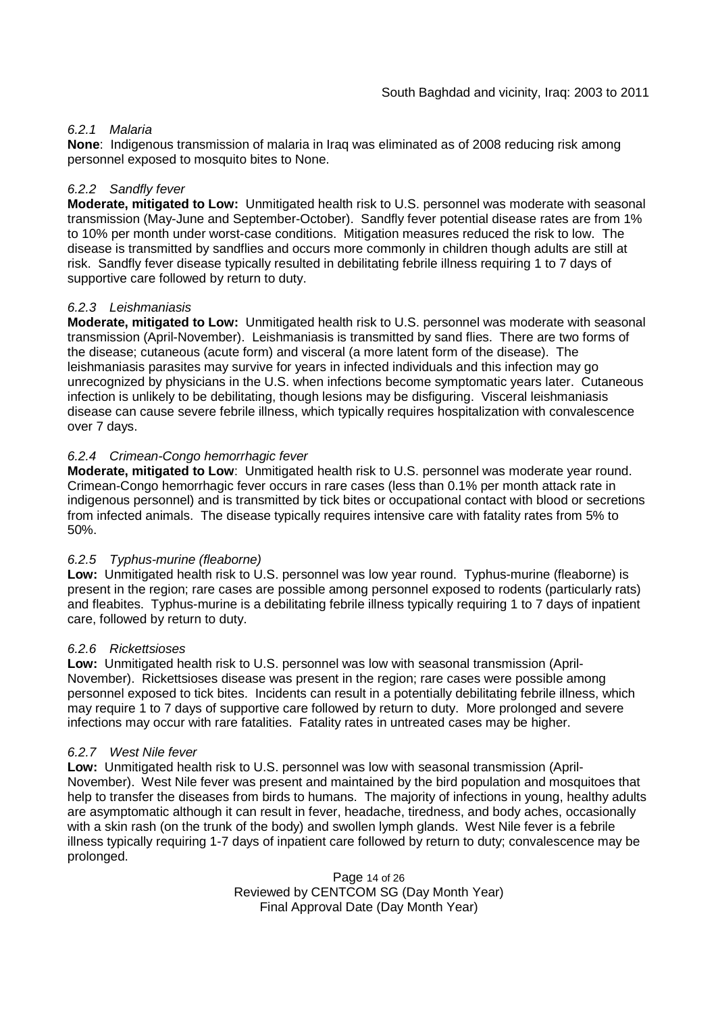### *6.2.1 Malaria*

**None**: Indigenous transmission of malaria in Iraq was eliminated as of 2008 reducing risk among personnel exposed to mosquito bites to None.

#### *6.2.2 Sandfly fever*

**Moderate, mitigated to Low:** Unmitigated health risk to U.S. personnel was moderate with seasonal transmission (May-June and September-October). Sandfly fever potential disease rates are from 1% to 10% per month under worst-case conditions. Mitigation measures reduced the risk to low. The disease is transmitted by sandflies and occurs more commonly in children though adults are still at risk. Sandfly fever disease typically resulted in debilitating febrile illness requiring 1 to 7 days of supportive care followed by return to duty.

### *6.2.3 Leishmaniasis*

**Moderate, mitigated to Low:** Unmitigated health risk to U.S. personnel was moderate with seasonal transmission (April-November). Leishmaniasis is transmitted by sand flies. There are two forms of the disease; cutaneous (acute form) and visceral (a more latent form of the disease). The leishmaniasis parasites may survive for years in infected individuals and this infection may go unrecognized by physicians in the U.S. when infections become symptomatic years later. Cutaneous infection is unlikely to be debilitating, though lesions may be disfiguring. Visceral leishmaniasis disease can cause severe febrile illness, which typically requires hospitalization with convalescence over 7 days.

### *6.2.4 Crimean-Congo hemorrhagic fever*

**Moderate, mitigated to Low**: Unmitigated health risk to U.S. personnel was moderate year round. Crimean-Congo hemorrhagic fever occurs in rare cases (less than 0.1% per month attack rate in indigenous personnel) and is transmitted by tick bites or occupational contact with blood or secretions from infected animals. The disease typically requires intensive care with fatality rates from 5% to 50%.

#### *6.2.5 Typhus-murine (fleaborne)*

**Low:** Unmitigated health risk to U.S. personnel was low year round. Typhus-murine (fleaborne) is present in the region; rare cases are possible among personnel exposed to rodents (particularly rats) and fleabites. Typhus-murine is a debilitating febrile illness typically requiring 1 to 7 days of inpatient care, followed by return to duty.

#### *6.2.6 Rickettsioses*

**Low:** Unmitigated health risk to U.S. personnel was low with seasonal transmission (April-November). Rickettsioses disease was present in the region; rare cases were possible among personnel exposed to tick bites. Incidents can result in a potentially debilitating febrile illness, which may require 1 to 7 days of supportive care followed by return to duty. More prolonged and severe infections may occur with rare fatalities. Fatality rates in untreated cases may be higher.

#### *6.2.7 West Nile fever*

**Low:** Unmitigated health risk to U.S. personnel was low with seasonal transmission (April-November). West Nile fever was present and maintained by the bird population and mosquitoes that help to transfer the diseases from birds to humans. The majority of infections in young, healthy adults are asymptomatic although it can result in fever, headache, tiredness, and body aches, occasionally with a skin rash (on the trunk of the body) and swollen lymph glands. West Nile fever is a febrile illness typically requiring 1-7 days of inpatient care followed by return to duty; convalescence may be prolonged.

> Page 14 of 26 Reviewed by CENTCOM SG (Day Month Year) Final Approval Date (Day Month Year)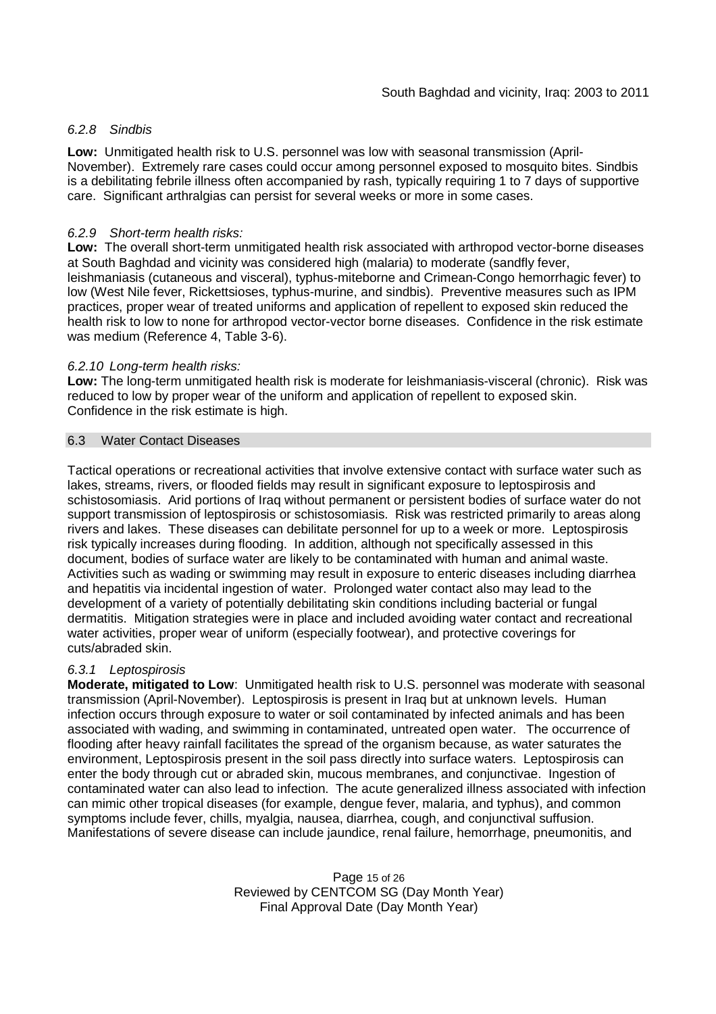### *6.2.8 Sindbis*

**Low:** Unmitigated health risk to U.S. personnel was low with seasonal transmission (April-November). Extremely rare cases could occur among personnel exposed to mosquito bites. Sindbis is a debilitating febrile illness often accompanied by rash, typically requiring 1 to 7 days of supportive care. Significant arthralgias can persist for several weeks or more in some cases.

### *6.2.9 Short-term health risks:*

**Low:** The overall short-term unmitigated health risk associated with arthropod vector-borne diseases at South Baghdad and vicinity was considered high (malaria) to moderate (sandfly fever, leishmaniasis (cutaneous and visceral), typhus-miteborne and Crimean-Congo hemorrhagic fever) to low (West Nile fever, Rickettsioses, typhus-murine, and sindbis). Preventive measures such as IPM practices, proper wear of treated uniforms and application of repellent to exposed skin reduced the health risk to low to none for arthropod vector-vector borne diseases. Confidence in the risk estimate was medium (Reference 4, Table 3-6).

#### *6.2.10 Long-term health risks:*

**Low:** The long-term unmitigated health risk is moderate for leishmaniasis-visceral (chronic). Risk was reduced to low by proper wear of the uniform and application of repellent to exposed skin. Confidence in the risk estimate is high.

#### 6.3 Water Contact Diseases

Tactical operations or recreational activities that involve extensive contact with surface water such as lakes, streams, rivers, or flooded fields may result in significant exposure to leptospirosis and schistosomiasis. Arid portions of Iraq without permanent or persistent bodies of surface water do not support transmission of leptospirosis or schistosomiasis. Risk was restricted primarily to areas along rivers and lakes. These diseases can debilitate personnel for up to a week or more. Leptospirosis risk typically increases during flooding. In addition, although not specifically assessed in this document, bodies of surface water are likely to be contaminated with human and animal waste. Activities such as wading or swimming may result in exposure to enteric diseases including diarrhea and hepatitis via incidental ingestion of water. Prolonged water contact also may lead to the development of a variety of potentially debilitating skin conditions including bacterial or fungal dermatitis. Mitigation strategies were in place and included avoiding water contact and recreational water activities, proper wear of uniform (especially footwear), and protective coverings for cuts/abraded skin.

#### *6.3.1 Leptospirosis*

**Moderate, mitigated to Low**: Unmitigated health risk to U.S. personnel was moderate with seasonal transmission (April-November). Leptospirosis is present in Iraq but at unknown levels. Human infection occurs through exposure to water or soil contaminated by infected animals and has been associated with wading, and swimming in contaminated, untreated open water. The occurrence of flooding after heavy rainfall facilitates the spread of the organism because, as water saturates the environment, Leptospirosis present in the soil pass directly into surface waters. Leptospirosis can enter the body through cut or abraded skin, mucous membranes, and conjunctivae. Ingestion of contaminated water can also lead to infection. The acute generalized illness associated with infection can mimic other tropical diseases (for example, dengue fever, malaria, and typhus), and common symptoms include fever, chills, myalgia, nausea, diarrhea, cough, and conjunctival suffusion. Manifestations of severe disease can include jaundice, renal failure, hemorrhage, pneumonitis, and

> Page 15 of 26 Reviewed by CENTCOM SG (Day Month Year) Final Approval Date (Day Month Year)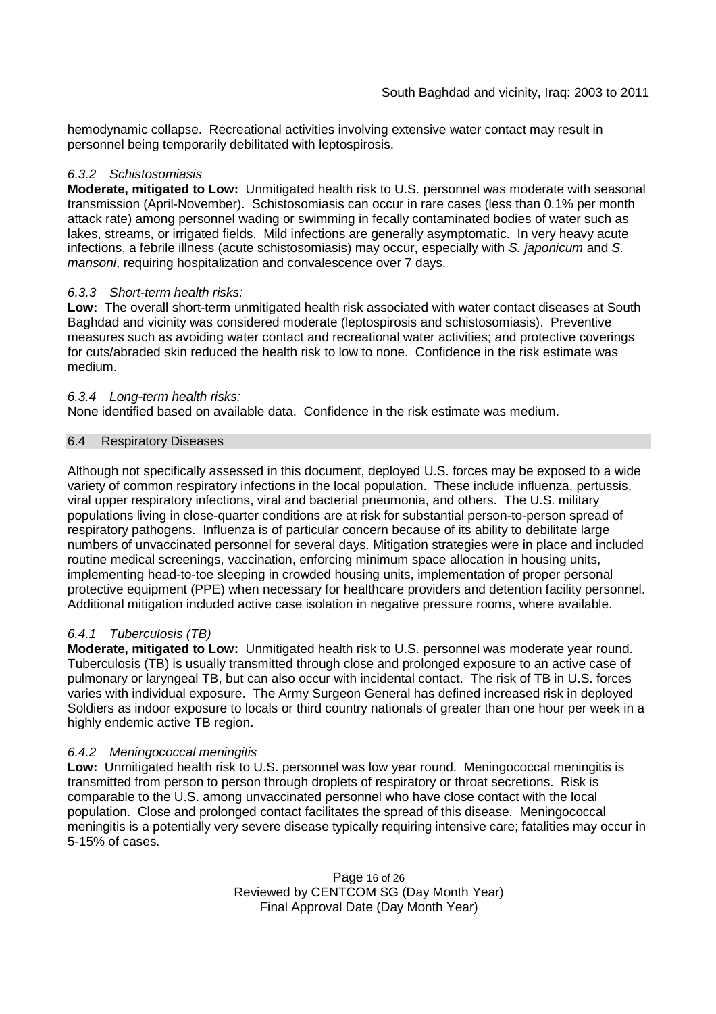hemodynamic collapse. Recreational activities involving extensive water contact may result in personnel being temporarily debilitated with leptospirosis.

### *6.3.2 Schistosomiasis*

**Moderate, mitigated to Low:** Unmitigated health risk to U.S. personnel was moderate with seasonal transmission (April-November). Schistosomiasis can occur in rare cases (less than 0.1% per month attack rate) among personnel wading or swimming in fecally contaminated bodies of water such as lakes, streams, or irrigated fields. Mild infections are generally asymptomatic. In very heavy acute infections, a febrile illness (acute schistosomiasis) may occur, especially with *S. japonicum* and *S. mansoni*, requiring hospitalization and convalescence over 7 days.

### *6.3.3 Short-term health risks:*

**Low:** The overall short-term unmitigated health risk associated with water contact diseases at South Baghdad and vicinity was considered moderate (leptospirosis and schistosomiasis). Preventive measures such as avoiding water contact and recreational water activities; and protective coverings for cuts/abraded skin reduced the health risk to low to none. Confidence in the risk estimate was medium.

### *6.3.4 Long-term health risks:*

None identified based on available data. Confidence in the risk estimate was medium.

### 6.4 Respiratory Diseases

Although not specifically assessed in this document, deployed U.S. forces may be exposed to a wide variety of common respiratory infections in the local population. These include influenza, pertussis, viral upper respiratory infections, viral and bacterial pneumonia, and others. The U.S. military populations living in close-quarter conditions are at risk for substantial person-to-person spread of respiratory pathogens. Influenza is of particular concern because of its ability to debilitate large numbers of unvaccinated personnel for several days. Mitigation strategies were in place and included routine medical screenings, vaccination, enforcing minimum space allocation in housing units, implementing head-to-toe sleeping in crowded housing units, implementation of proper personal protective equipment (PPE) when necessary for healthcare providers and detention facility personnel. Additional mitigation included active case isolation in negative pressure rooms, where available.

#### *6.4.1 Tuberculosis (TB)*

**Moderate, mitigated to Low:** Unmitigated health risk to U.S. personnel was moderate year round. Tuberculosis (TB) is usually transmitted through close and prolonged exposure to an active case of pulmonary or laryngeal TB, but can also occur with incidental contact. The risk of TB in U.S. forces varies with individual exposure. The Army Surgeon General has defined increased risk in deployed Soldiers as indoor exposure to locals or third country nationals of greater than one hour per week in a highly endemic active TB region.

### *6.4.2 Meningococcal meningitis*

**Low:** Unmitigated health risk to U.S. personnel was low year round. Meningococcal meningitis is transmitted from person to person through droplets of respiratory or throat secretions. Risk is comparable to the U.S. among unvaccinated personnel who have close contact with the local population. Close and prolonged contact facilitates the spread of this disease. Meningococcal meningitis is a potentially very severe disease typically requiring intensive care; fatalities may occur in 5-15% of cases.

> Page 16 of 26 Reviewed by CENTCOM SG (Day Month Year) Final Approval Date (Day Month Year)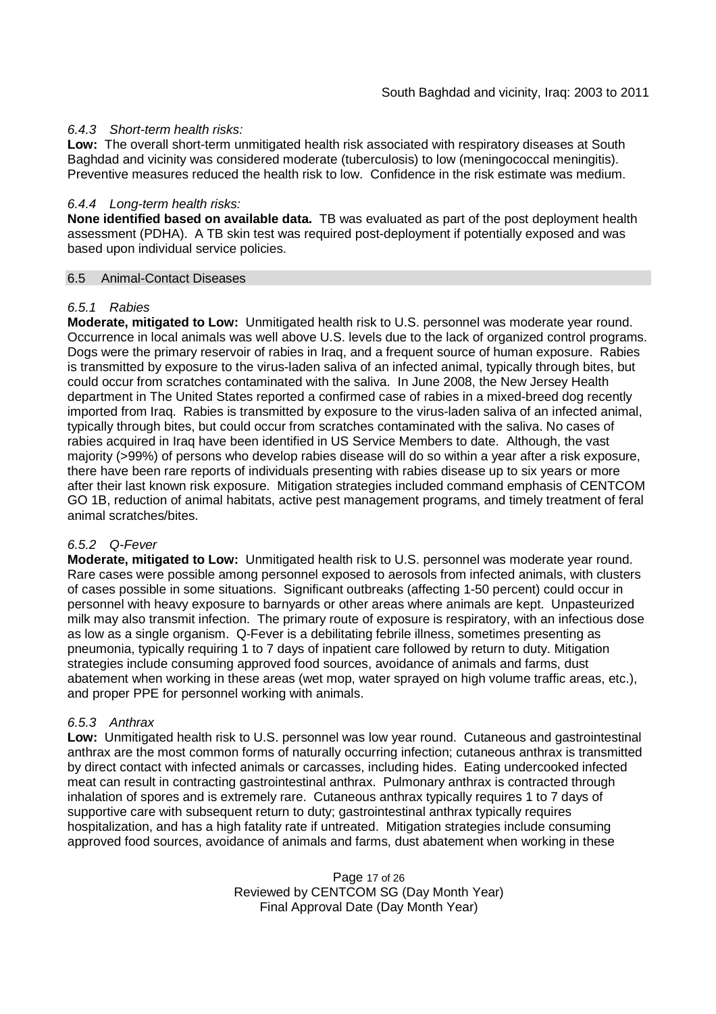### *6.4.3 Short-term health risks:*

**Low:** The overall short-term unmitigated health risk associated with respiratory diseases at South Baghdad and vicinity was considered moderate (tuberculosis) to low (meningococcal meningitis). Preventive measures reduced the health risk to low. Confidence in the risk estimate was medium.

#### *6.4.4 Long-term health risks:*

**None identified based on available data.** TB was evaluated as part of the post deployment health assessment (PDHA). A TB skin test was required post-deployment if potentially exposed and was based upon individual service policies.

#### 6.5 Animal-Contact Diseases

#### *6.5.1 Rabies*

**Moderate, mitigated to Low:** Unmitigated health risk to U.S. personnel was moderate year round. Occurrence in local animals was well above U.S. levels due to the lack of organized control programs. Dogs were the primary reservoir of rabies in Iraq, and a frequent source of human exposure. Rabies is transmitted by exposure to the virus-laden saliva of an infected animal, typically through bites, but could occur from scratches contaminated with the saliva. In June 2008, the New Jersey Health department in The United States reported a confirmed case of rabies in a mixed-breed dog recently imported from Iraq. Rabies is transmitted by exposure to the virus-laden saliva of an infected animal, typically through bites, but could occur from scratches contaminated with the saliva. No cases of rabies acquired in Iraq have been identified in US Service Members to date. Although, the vast majority (>99%) of persons who develop rabies disease will do so within a year after a risk exposure, there have been rare reports of individuals presenting with rabies disease up to six years or more after their last known risk exposure. Mitigation strategies included command emphasis of CENTCOM GO 1B, reduction of animal habitats, active pest management programs, and timely treatment of feral animal scratches/bites.

#### *6.5.2 Q-Fever*

**Moderate, mitigated to Low:** Unmitigated health risk to U.S. personnel was moderate year round. Rare cases were possible among personnel exposed to aerosols from infected animals, with clusters of cases possible in some situations. Significant outbreaks (affecting 1-50 percent) could occur in personnel with heavy exposure to barnyards or other areas where animals are kept. Unpasteurized milk may also transmit infection. The primary route of exposure is respiratory, with an infectious dose as low as a single organism. Q-Fever is a debilitating febrile illness, sometimes presenting as pneumonia, typically requiring 1 to 7 days of inpatient care followed by return to duty. Mitigation strategies include consuming approved food sources, avoidance of animals and farms, dust abatement when working in these areas (wet mop, water sprayed on high volume traffic areas, etc.), and proper PPE for personnel working with animals.

#### *6.5.3 Anthrax*

**Low:** Unmitigated health risk to U.S. personnel was low year round. Cutaneous and gastrointestinal anthrax are the most common forms of naturally occurring infection; cutaneous anthrax is transmitted by direct contact with infected animals or carcasses, including hides. Eating undercooked infected meat can result in contracting gastrointestinal anthrax. Pulmonary anthrax is contracted through inhalation of spores and is extremely rare. Cutaneous anthrax typically requires 1 to 7 days of supportive care with subsequent return to duty; gastrointestinal anthrax typically requires hospitalization, and has a high fatality rate if untreated. Mitigation strategies include consuming approved food sources, avoidance of animals and farms, dust abatement when working in these

> Page 17 of 26 Reviewed by CENTCOM SG (Day Month Year) Final Approval Date (Day Month Year)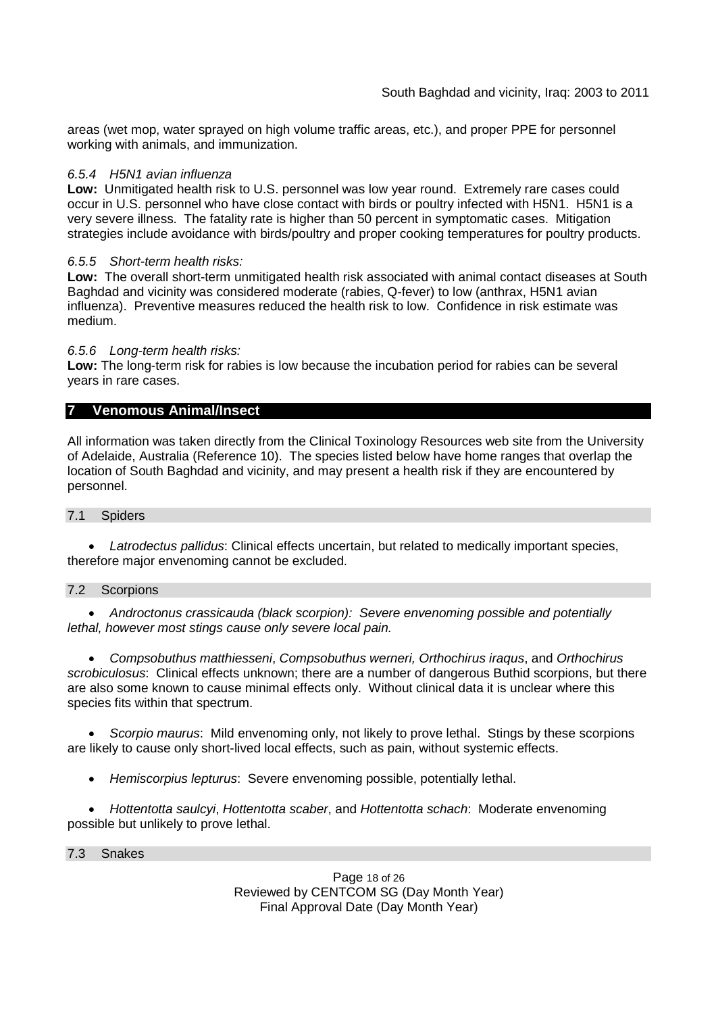areas (wet mop, water sprayed on high volume traffic areas, etc.), and proper PPE for personnel working with animals, and immunization.

### *6.5.4 H5N1 avian influenza*

**Low:** Unmitigated health risk to U.S. personnel was low year round. Extremely rare cases could occur in U.S. personnel who have close contact with birds or poultry infected with H5N1. H5N1 is a very severe illness. The fatality rate is higher than 50 percent in symptomatic cases. Mitigation strategies include avoidance with birds/poultry and proper cooking temperatures for poultry products.

### *6.5.5 Short-term health risks:*

**Low:** The overall short-term unmitigated health risk associated with animal contact diseases at South Baghdad and vicinity was considered moderate (rabies, Q-fever) to low (anthrax, H5N1 avian influenza). Preventive measures reduced the health risk to low. Confidence in risk estimate was medium.

### *6.5.6 Long-term health risks:*

**Low:** The long-term risk for rabies is low because the incubation period for rabies can be several years in rare cases.

### **7 Venomous Animal/Insect**

All information was taken directly from the Clinical Toxinology Resources web site from the University of Adelaide, Australia (Reference 10). The species listed below have home ranges that overlap the location of South Baghdad and vicinity, and may present a health risk if they are encountered by personnel.

#### 7.1 Spiders

 *Latrodectus pallidus*: Clinical effects uncertain, but related to medically important species, therefore major envenoming cannot be excluded.

#### 7.2 Scorpions

 *Androctonus crassicauda (black scorpion): Severe envenoming possible and potentially lethal, however most stings cause only severe local pain.*

 *Compsobuthus matthiesseni*, *Compsobuthus werneri, Orthochirus iraqus*, and *Orthochirus scrobiculosus*: Clinical effects unknown; there are a number of dangerous Buthid scorpions, but there are also some known to cause minimal effects only. Without clinical data it is unclear where this species fits within that spectrum.

 *Scorpio maurus*: Mild envenoming only, not likely to prove lethal. Stings by these scorpions are likely to cause only short-lived local effects, such as pain, without systemic effects.

*Hemiscorpius lepturus*: Severe envenoming possible, potentially lethal.

 *Hottentotta saulcyi*, *Hottentotta scaber*, and *Hottentotta schach*: Moderate envenoming possible but unlikely to prove lethal.

#### 7.3 Snakes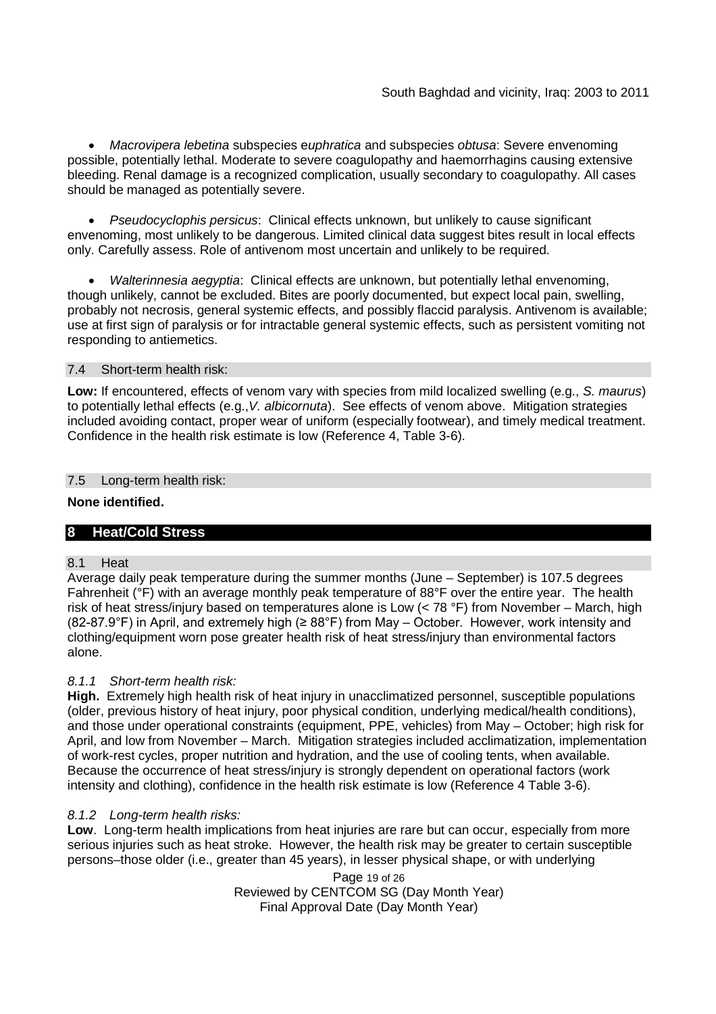*Macrovipera lebetina* subspecies e*uphratica* and subspecies *obtusa*: Severe envenoming possible, potentially lethal. Moderate to severe coagulopathy and haemorrhagins causing extensive bleeding. Renal damage is a recognized complication, usually secondary to coagulopathy. All cases should be managed as potentially severe.

 *Pseudocyclophis persicus*: Clinical effects unknown, but unlikely to cause significant envenoming, most unlikely to be dangerous. Limited clinical data suggest bites result in local effects only. Carefully assess. Role of antivenom most uncertain and unlikely to be required.

 *Walterinnesia aegyptia*: Clinical effects are unknown, but potentially lethal envenoming, though unlikely, cannot be excluded. Bites are poorly documented, but expect local pain, swelling, probably not necrosis, general systemic effects, and possibly flaccid paralysis. Antivenom is available; use at first sign of paralysis or for intractable general systemic effects, such as persistent vomiting not responding to antiemetics.

#### 7.4 Short-term health risk:

**Low:** If encountered, effects of venom vary with species from mild localized swelling (e.g., *S. maurus*) to potentially lethal effects (e.g.,*V. albicornuta*). See effects of venom above. Mitigation strategies included avoiding contact, proper wear of uniform (especially footwear), and timely medical treatment. Confidence in the health risk estimate is low (Reference 4, Table 3-6).

### 7.5 Long-term health risk:

#### **None identified.**

### **8 Heat/Cold Stress**

#### 8.1 Heat

Average daily peak temperature during the summer months (June – September) is 107.5 degrees Fahrenheit (°F) with an average monthly peak temperature of 88°F over the entire year. The health risk of heat stress/injury based on temperatures alone is Low  $(< 78 °F)$  from November – March, high (82-87.9°F) in April, and extremely high ( $\geq$  88°F) from May – October. However, work intensity and clothing/equipment worn pose greater health risk of heat stress/injury than environmental factors alone.

### *8.1.1 Short-term health risk:*

**High.** Extremely high health risk of heat injury in unacclimatized personnel, susceptible populations (older, previous history of heat injury, poor physical condition, underlying medical/health conditions), and those under operational constraints (equipment, PPE, vehicles) from May – October; high risk for April, and low from November – March. Mitigation strategies included acclimatization, implementation of work-rest cycles, proper nutrition and hydration, and the use of cooling tents, when available. Because the occurrence of heat stress/injury is strongly dependent on operational factors (work intensity and clothing), confidence in the health risk estimate is low (Reference 4 Table 3-6).

### *8.1.2 Long-term health risks:*

**Low**. Long-term health implications from heat injuries are rare but can occur, especially from more serious injuries such as heat stroke. However, the health risk may be greater to certain susceptible persons–those older (i.e., greater than 45 years), in lesser physical shape, or with underlying

> Page 19 of 26 Reviewed by CENTCOM SG (Day Month Year) Final Approval Date (Day Month Year)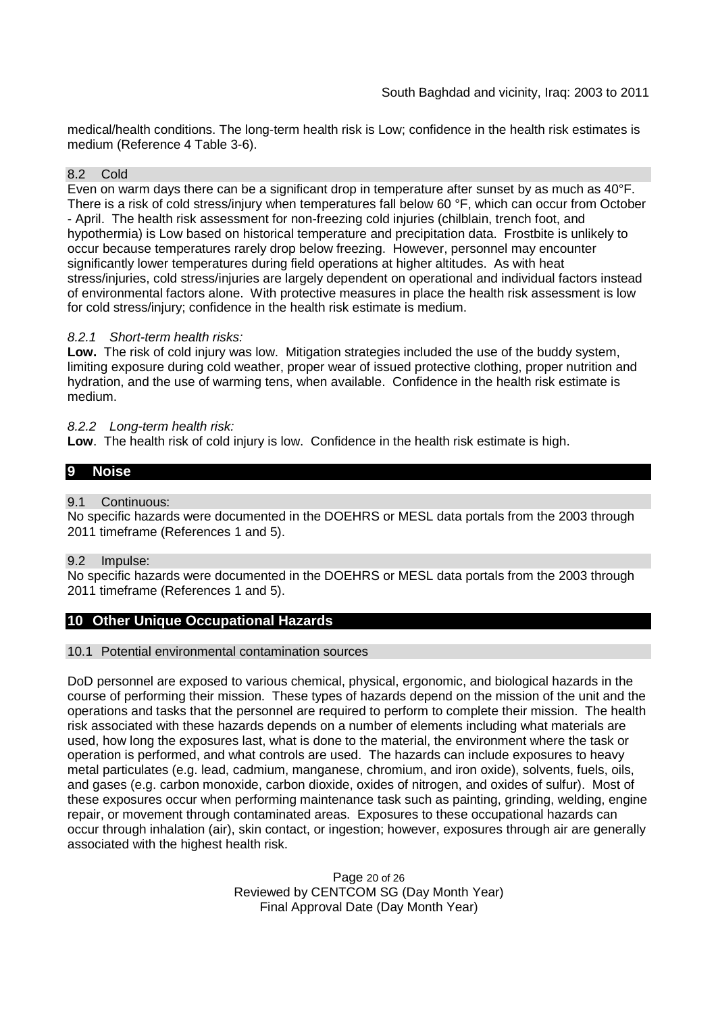medical/health conditions. The long-term health risk is Low; confidence in the health risk estimates is medium (Reference 4 Table 3-6).

#### 8.2 Cold

Even on warm days there can be a significant drop in temperature after sunset by as much as 40°F. There is a risk of cold stress/injury when temperatures fall below 60 °F, which can occur from October - April. The health risk assessment for non-freezing cold injuries (chilblain, trench foot, and hypothermia) is Low based on historical temperature and precipitation data. Frostbite is unlikely to occur because temperatures rarely drop below freezing. However, personnel may encounter significantly lower temperatures during field operations at higher altitudes. As with heat stress/injuries, cold stress/injuries are largely dependent on operational and individual factors instead of environmental factors alone. With protective measures in place the health risk assessment is low for cold stress/injury; confidence in the health risk estimate is medium.

### *8.2.1 Short-term health risks:*

**Low.** The risk of cold injury was low. Mitigation strategies included the use of the buddy system, limiting exposure during cold weather, proper wear of issued protective clothing, proper nutrition and hydration, and the use of warming tens, when available. Confidence in the health risk estimate is medium.

### *8.2.2 Long-term health risk:*

**Low**. The health risk of cold injury is low. Confidence in the health risk estimate is high.

### **9 Noise**

### 9.1 Continuous:

No specific hazards were documented in the DOEHRS or MESL data portals from the 2003 through 2011 timeframe (References 1 and 5).

#### 9.2 Impulse:

No specific hazards were documented in the DOEHRS or MESL data portals from the 2003 through 2011 timeframe (References 1 and 5).

### **10 Other Unique Occupational Hazards**

#### 10.1 Potential environmental contamination sources

DoD personnel are exposed to various chemical, physical, ergonomic, and biological hazards in the course of performing their mission. These types of hazards depend on the mission of the unit and the operations and tasks that the personnel are required to perform to complete their mission. The health risk associated with these hazards depends on a number of elements including what materials are used, how long the exposures last, what is done to the material, the environment where the task or operation is performed, and what controls are used. The hazards can include exposures to heavy metal particulates (e.g. lead, cadmium, manganese, chromium, and iron oxide), solvents, fuels, oils, and gases (e.g. carbon monoxide, carbon dioxide, oxides of nitrogen, and oxides of sulfur). Most of these exposures occur when performing maintenance task such as painting, grinding, welding, engine repair, or movement through contaminated areas. Exposures to these occupational hazards can occur through inhalation (air), skin contact, or ingestion; however, exposures through air are generally associated with the highest health risk.

> Page 20 of 26 Reviewed by CENTCOM SG (Day Month Year) Final Approval Date (Day Month Year)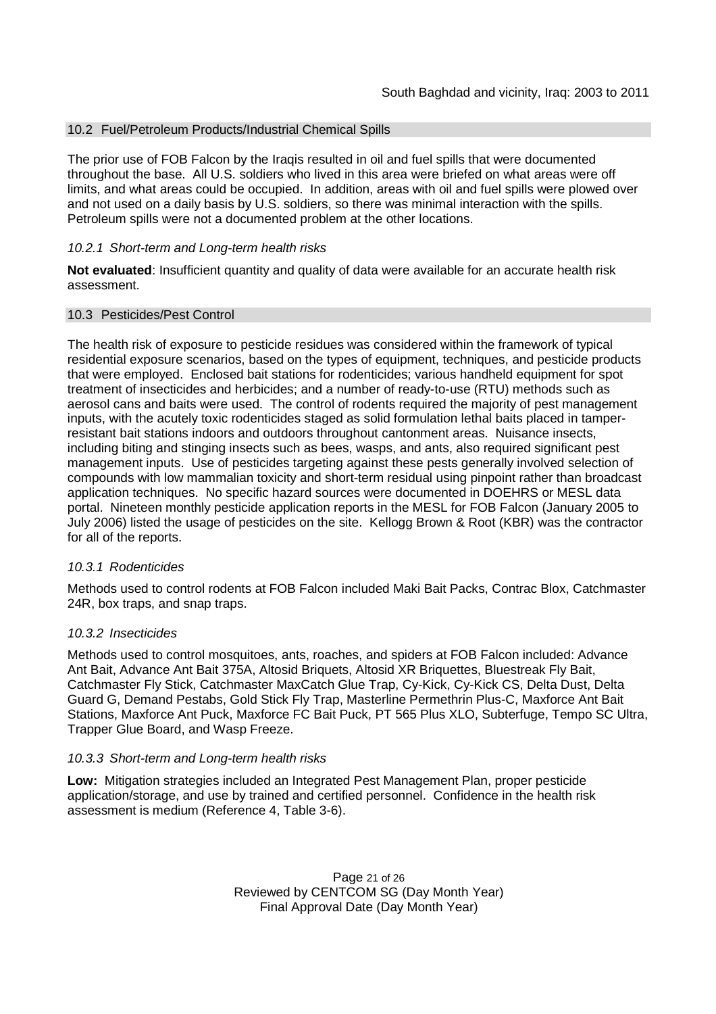### 10.2 Fuel/Petroleum Products/Industrial Chemical Spills

The prior use of FOB Falcon by the Iraqis resulted in oil and fuel spills that were documented throughout the base. All U.S. soldiers who lived in this area were briefed on what areas were off limits, and what areas could be occupied. In addition, areas with oil and fuel spills were plowed over and not used on a daily basis by U.S. soldiers, so there was minimal interaction with the spills. Petroleum spills were not a documented problem at the other locations.

#### *10.2.1 Short-term and Long-term health risks*

**Not evaluated**: Insufficient quantity and quality of data were available for an accurate health risk assessment.

#### 10.3 Pesticides/Pest Control

The health risk of exposure to pesticide residues was considered within the framework of typical residential exposure scenarios, based on the types of equipment, techniques, and pesticide products that were employed. Enclosed bait stations for rodenticides; various handheld equipment for spot treatment of insecticides and herbicides; and a number of ready-to-use (RTU) methods such as aerosol cans and baits were used. The control of rodents required the majority of pest management inputs, with the acutely toxic rodenticides staged as solid formulation lethal baits placed in tamperresistant bait stations indoors and outdoors throughout cantonment areas. Nuisance insects, including biting and stinging insects such as bees, wasps, and ants, also required significant pest management inputs. Use of pesticides targeting against these pests generally involved selection of compounds with low mammalian toxicity and short-term residual using pinpoint rather than broadcast application techniques. No specific hazard sources were documented in DOEHRS or MESL data portal. Nineteen monthly pesticide application reports in the MESL for FOB Falcon (January 2005 to July 2006) listed the usage of pesticides on the site. Kellogg Brown & Root (KBR) was the contractor for all of the reports.

#### *10.3.1 Rodenticides*

Methods used to control rodents at FOB Falcon included Maki Bait Packs, Contrac Blox, Catchmaster 24R, box traps, and snap traps.

#### *10.3.2 Insecticides*

Methods used to control mosquitoes, ants, roaches, and spiders at FOB Falcon included: Advance Ant Bait, Advance Ant Bait 375A, Altosid Briquets, Altosid XR Briquettes, Bluestreak Fly Bait, Catchmaster Fly Stick, Catchmaster MaxCatch Glue Trap, Cy-Kick, Cy-Kick CS, Delta Dust, Delta Guard G, Demand Pestabs, Gold Stick Fly Trap, Masterline Permethrin Plus-C, Maxforce Ant Bait Stations, Maxforce Ant Puck, Maxforce FC Bait Puck, PT 565 Plus XLO, Subterfuge, Tempo SC Ultra, Trapper Glue Board, and Wasp Freeze.

#### *10.3.3 Short-term and Long-term health risks*

**Low:** Mitigation strategies included an Integrated Pest Management Plan, proper pesticide application/storage, and use by trained and certified personnel. Confidence in the health risk assessment is medium (Reference 4, Table 3-6).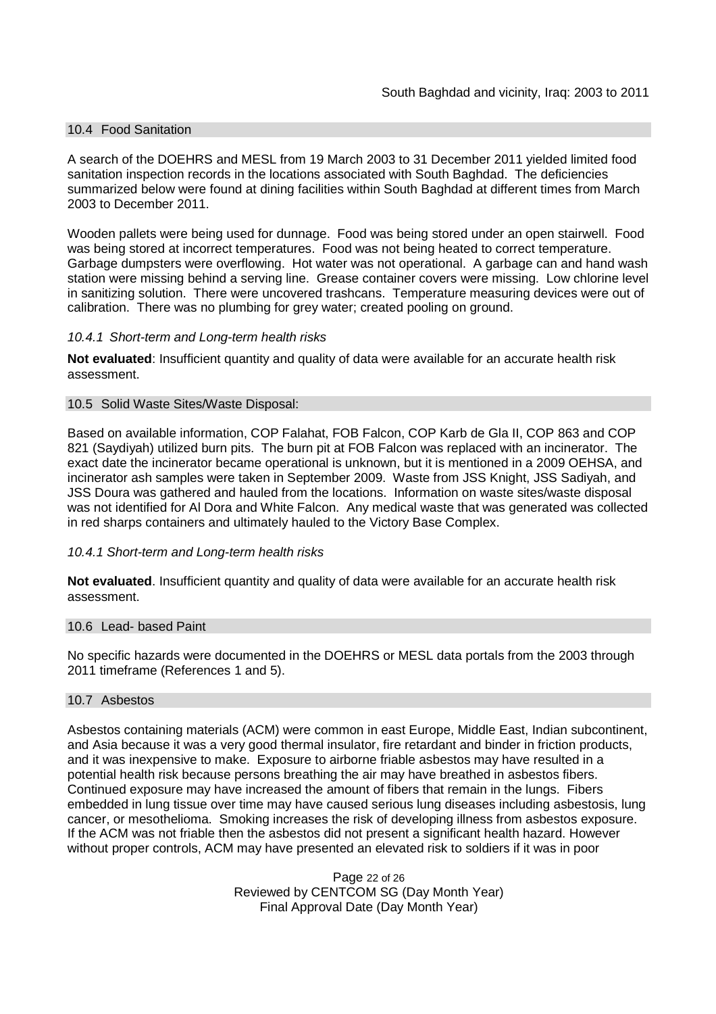### 10.4 Food Sanitation

A search of the DOEHRS and MESL from 19 March 2003 to 31 December 2011 yielded limited food sanitation inspection records in the locations associated with South Baghdad. The deficiencies summarized below were found at dining facilities within South Baghdad at different times from March 2003 to December 2011.

Wooden pallets were being used for dunnage. Food was being stored under an open stairwell. Food was being stored at incorrect temperatures. Food was not being heated to correct temperature. Garbage dumpsters were overflowing. Hot water was not operational. A garbage can and hand wash station were missing behind a serving line. Grease container covers were missing. Low chlorine level in sanitizing solution. There were uncovered trashcans. Temperature measuring devices were out of calibration. There was no plumbing for grey water; created pooling on ground.

#### *10.4.1 Short-term and Long-term health risks*

**Not evaluated**: Insufficient quantity and quality of data were available for an accurate health risk assessment.

#### 10.5 Solid Waste Sites/Waste Disposal:

Based on available information, COP Falahat, FOB Falcon, COP Karb de Gla II, COP 863 and COP 821 (Saydiyah) utilized burn pits. The burn pit at FOB Falcon was replaced with an incinerator. The exact date the incinerator became operational is unknown, but it is mentioned in a 2009 OEHSA, and incinerator ash samples were taken in September 2009. Waste from JSS Knight, JSS Sadiyah, and JSS Doura was gathered and hauled from the locations. Information on waste sites/waste disposal was not identified for Al Dora and White Falcon. Any medical waste that was generated was collected in red sharps containers and ultimately hauled to the Victory Base Complex.

#### *10.4.1 Short-term and Long-term health risks*

**Not evaluated**. Insufficient quantity and quality of data were available for an accurate health risk assessment.

#### 10.6 Lead- based Paint

No specific hazards were documented in the DOEHRS or MESL data portals from the 2003 through 2011 timeframe (References 1 and 5).

#### 10.7 Asbestos

Asbestos containing materials (ACM) were common in east Europe, Middle East, Indian subcontinent, and Asia because it was a very good thermal insulator, fire retardant and binder in friction products, and it was inexpensive to make. Exposure to airborne friable asbestos may have resulted in a potential health risk because persons breathing the air may have breathed in asbestos fibers. Continued exposure may have increased the amount of fibers that remain in the lungs. Fibers embedded in lung tissue over time may have caused serious lung diseases including asbestosis, lung cancer, or mesothelioma. Smoking increases the risk of developing illness from asbestos exposure. If the ACM was not friable then the asbestos did not present a significant health hazard. However without proper controls, ACM may have presented an elevated risk to soldiers if it was in poor

> Page 22 of 26 Reviewed by CENTCOM SG (Day Month Year) Final Approval Date (Day Month Year)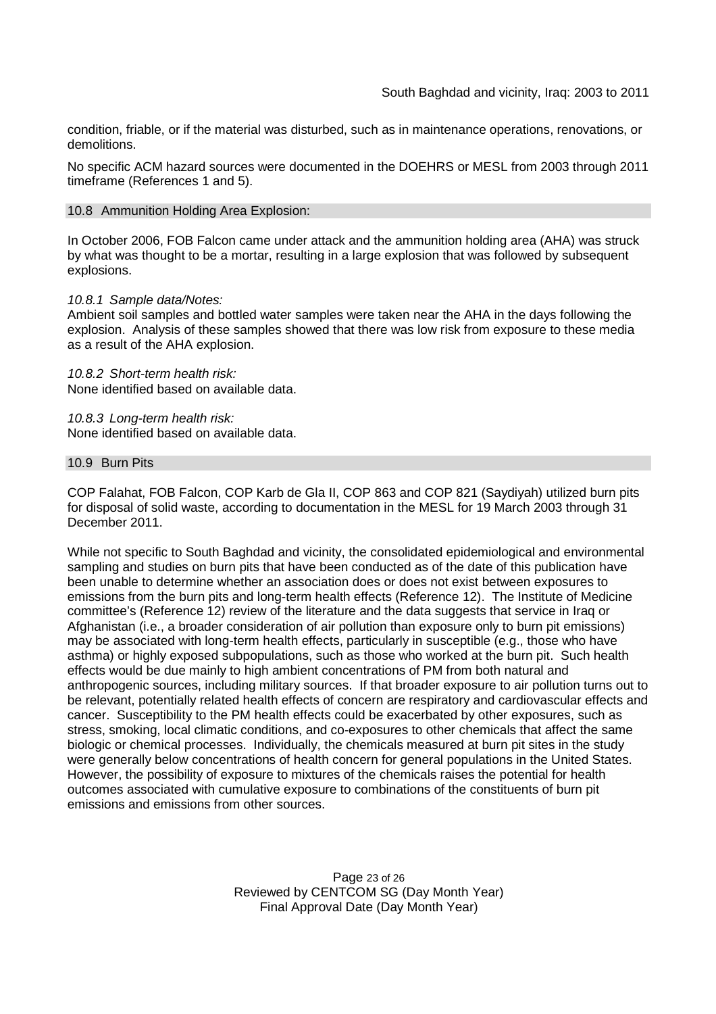condition, friable, or if the material was disturbed, such as in maintenance operations, renovations, or demolitions.

No specific ACM hazard sources were documented in the DOEHRS or MESL from 2003 through 2011 timeframe (References 1 and 5).

#### 10.8 Ammunition Holding Area Explosion:

In October 2006, FOB Falcon came under attack and the ammunition holding area (AHA) was struck by what was thought to be a mortar, resulting in a large explosion that was followed by subsequent explosions.

#### *10.8.1 Sample data/Notes:*

Ambient soil samples and bottled water samples were taken near the AHA in the days following the explosion. Analysis of these samples showed that there was low risk from exposure to these media as a result of the AHA explosion.

*10.8.2 Short-term health risk:* None identified based on available data.

*10.8.3 Long-term health risk:* None identified based on available data.

#### 10.9 Burn Pits

COP Falahat, FOB Falcon, COP Karb de Gla II, COP 863 and COP 821 (Saydiyah) utilized burn pits for disposal of solid waste, according to documentation in the MESL for 19 March 2003 through 31 December 2011.

While not specific to South Baghdad and vicinity, the consolidated epidemiological and environmental sampling and studies on burn pits that have been conducted as of the date of this publication have been unable to determine whether an association does or does not exist between exposures to emissions from the burn pits and long-term health effects (Reference 12). The Institute of Medicine committee's (Reference 12) review of the literature and the data suggests that service in Iraq or Afghanistan (i.e., a broader consideration of air pollution than exposure only to burn pit emissions) may be associated with long-term health effects, particularly in susceptible (e.g., those who have asthma) or highly exposed subpopulations, such as those who worked at the burn pit. Such health effects would be due mainly to high ambient concentrations of PM from both natural and anthropogenic sources, including military sources. If that broader exposure to air pollution turns out to be relevant, potentially related health effects of concern are respiratory and cardiovascular effects and cancer. Susceptibility to the PM health effects could be exacerbated by other exposures, such as stress, smoking, local climatic conditions, and co-exposures to other chemicals that affect the same biologic or chemical processes. Individually, the chemicals measured at burn pit sites in the study were generally below concentrations of health concern for general populations in the United States. However, the possibility of exposure to mixtures of the chemicals raises the potential for health outcomes associated with cumulative exposure to combinations of the constituents of burn pit emissions and emissions from other sources.

> Page 23 of 26 Reviewed by CENTCOM SG (Day Month Year) Final Approval Date (Day Month Year)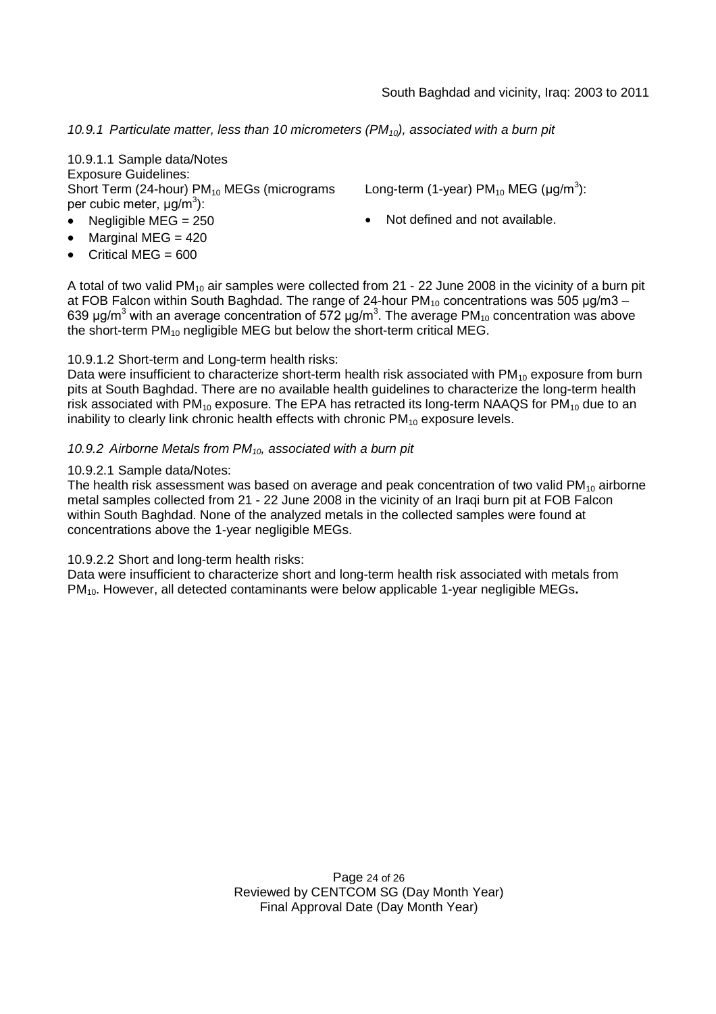*10.9.1 Particulate matter, less than 10 micrometers (PM10), associated with a burn pit*

10.9.1.1 Sample data/Notes Exposure Guidelines: Short Term (24-hour)  $PM_{10}$  MEGs (micrograms per cubic meter, μg/m<sup>3</sup>):

- 
- Marginal MEG  $= 420$
- Critical MEG =  $600$

Long-term (1-year) PM<sub>10</sub> MEG (µg/m<sup>3</sup>):

Negligible  $MEG = 250$   $\bullet$  Not defined and not available.

A total of two valid PM<sub>10</sub> air samples were collected from 21 - 22 June 2008 in the vicinity of a burn pit at FOB Falcon within South Baghdad. The range of 24-hour  $PM_{10}$  concentrations was 505  $\mu q/m3 -$ 639 μg/m<sup>3</sup> with an average concentration of 572 μg/m<sup>3</sup>. The average PM<sub>10</sub> concentration was above the short-term  $PM_{10}$  negligible MEG but below the short-term critical MEG.

### 10.9.1.2 Short-term and Long-term health risks:

Data were insufficient to characterize short-term health risk associated with  $PM_{10}$  exposure from burn pits at South Baghdad. There are no available health guidelines to characterize the long-term health risk associated with  $PM_{10}$  exposure. The EPA has retracted its long-term NAAQS for  $PM_{10}$  due to an inability to clearly link chronic health effects with chronic  $PM_{10}$  exposure levels.

#### *10.9.2 Airborne Metals from PM10, associated with a burn pit*

#### 10.9.2.1 Sample data/Notes:

The health risk assessment was based on average and peak concentration of two valid  $PM_{10}$  airborne metal samples collected from 21 - 22 June 2008 in the vicinity of an Iraqi burn pit at FOB Falcon within South Baghdad. None of the analyzed metals in the collected samples were found at concentrations above the 1-year negligible MEGs.

#### 10.9.2.2 Short and long-term health risks:

Data were insufficient to characterize short and long-term health risk associated with metals from PM10. However, all detected contaminants were below applicable 1-year negligible MEGs**.**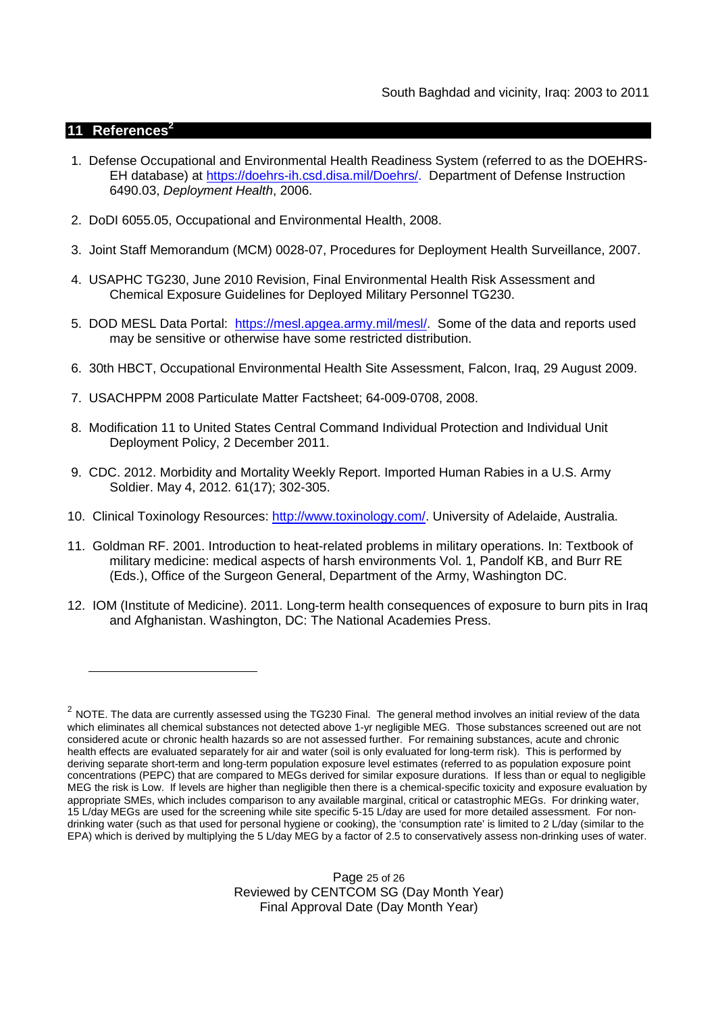### **11 References<sup>2</sup>**

- 1. Defense Occupational and Environmental Health Readiness System (referred to as the DOEHRS-EH database) at https://doehrs-ih.csd.disa.mil/Doehrs/. Department of Defense Instruction 6490.03, *Deployment Health*, 2006.
- 2. DoDI 6055.05, Occupational and Environmental Health, 2008.
- 3. Joint Staff Memorandum (MCM) 0028-07, Procedures for Deployment Health Surveillance, 2007.
- 4. USAPHC TG230, June 2010 Revision, Final Environmental Health Risk Assessment and Chemical Exposure Guidelines for Deployed Military Personnel TG230.
- 5. DOD MESL Data Portal: https://mesl.apgea.army.mil/mesl/. Some of the data and reports used may be sensitive or otherwise have some restricted distribution.
- 6. 30th HBCT, Occupational Environmental Health Site Assessment, Falcon, Iraq, 29 August 2009.
- 7. USACHPPM 2008 Particulate Matter Factsheet; 64-009-0708, 2008.
- 8. Modification 11 to United States Central Command Individual Protection and Individual Unit Deployment Policy, 2 December 2011.
- 9. CDC. 2012. Morbidity and Mortality Weekly Report. Imported Human Rabies in a U.S. Army Soldier. May 4, 2012. 61(17); 302-305.
- 10. Clinical Toxinology Resources: http://www.toxinology.com/. University of Adelaide, Australia.
- 11. Goldman RF. 2001. Introduction to heat-related problems in military operations. In: Textbook of military medicine: medical aspects of harsh environments Vol. 1, Pandolf KB, and Burr RE (Eds.), Office of the Surgeon General, Department of the Army, Washington DC.
- 12. IOM (Institute of Medicine). 2011. Long-term health consequences of exposure to burn pits in Iraq and Afghanistan. Washington, DC: The National Academies Press.

 $^2$  NOTE. The data are currently assessed using the TG230 Final. The general method involves an initial review of the data which eliminates all chemical substances not detected above 1-yr negligible MEG. Those substances screened out are not considered acute or chronic health hazards so are not assessed further. For remaining substances, acute and chronic health effects are evaluated separately for air and water (soil is only evaluated for long-term risk). This is performed by deriving separate short-term and long-term population exposure level estimates (referred to as population exposure point concentrations (PEPC) that are compared to MEGs derived for similar exposure durations. If less than or equal to negligible MEG the risk is Low. If levels are higher than negligible then there is a chemical-specific toxicity and exposure evaluation by appropriate SMEs, which includes comparison to any available marginal, critical or catastrophic MEGs. For drinking water, 15 L/day MEGs are used for the screening while site specific 5-15 L/day are used for more detailed assessment. For nondrinking water (such as that used for personal hygiene or cooking), the 'consumption rate' is limited to 2 L/day (similar to the EPA) which is derived by multiplying the 5 L/day MEG by a factor of 2.5 to conservatively assess non-drinking uses of water.